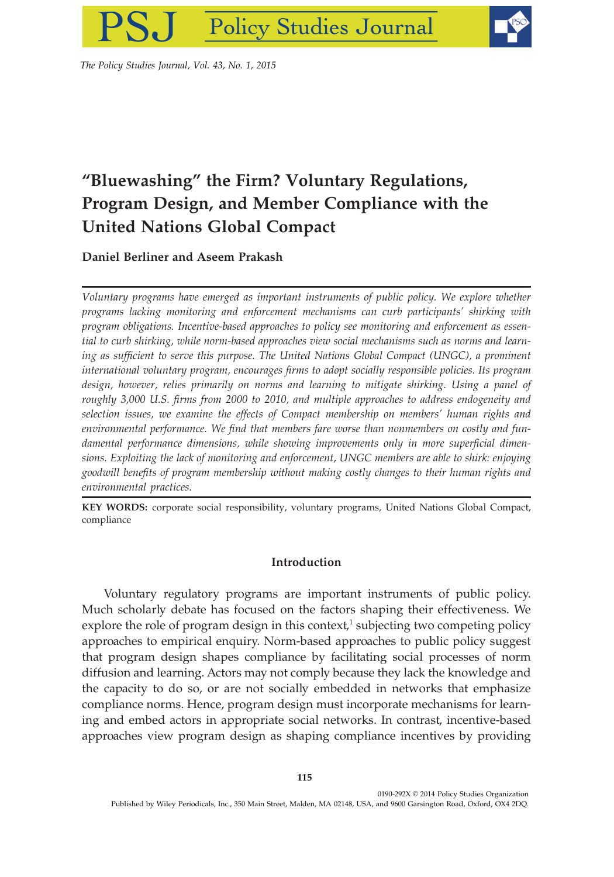

*The Policy Studies Journal, Vol. ••, No. ••, 2014* The Policy Studies Journal, Vol. 43, No. 1, 2015

# **"Bluewashing" the Firm? Voluntary Regulations, Program Design, and Member Compliance with the United Nations Global Compact**

**Daniel Berliner and Aseem Prakash**

*Voluntary programs have emerged as important instruments of public policy. We explore whether programs lacking monitoring and enforcement mechanisms can curb participants' shirking with program obligations. Incentive-based approaches to policy see monitoring and enforcement as essential to curb shirking, while norm-based approaches view social mechanisms such as norms and learning as sufficient to serve this purpose. The United Nations Global Compact (UNGC), a prominent international voluntary program, encourages firms to adopt socially responsible policies. Its program design, however, relies primarily on norms and learning to mitigate shirking. Using a panel of roughly 3,000 U.S. firms from 2000 to 2010, and multiple approaches to address endogeneity and selection issues, we examine the effects of Compact membership on members' human rights and environmental performance. We find that members fare worse than nonmembers on costly and fundamental performance dimensions, while showing improvements only in more superficial dimensions. Exploiting the lack of monitoring and enforcement, UNGC members are able to shirk: enjoying goodwill benefits of program membership without making costly changes to their human rights and environmental practices.*

**KEY WORDS:** corporate social responsibility, voluntary programs, United Nations Global Compact, compliance

# **Introduction**

Voluntary regulatory programs are important instruments of public policy. Much scholarly debate has focused on the factors shaping their effectiveness. We explore the role of program design in this context, $\frac{1}{2}$  subjecting two competing policy approaches to empirical enquiry. Norm-based approaches to public policy suggest that program design shapes compliance by facilitating social processes of norm diffusion and learning. Actors may not comply because they lack the knowledge and the capacity to do so, or are not socially embedded in networks that emphasize compliance norms. Hence, program design must incorporate mechanisms for learning and embed actors in appropriate social networks. In contrast, incentive-based approaches view program design as shaping compliance incentives by providing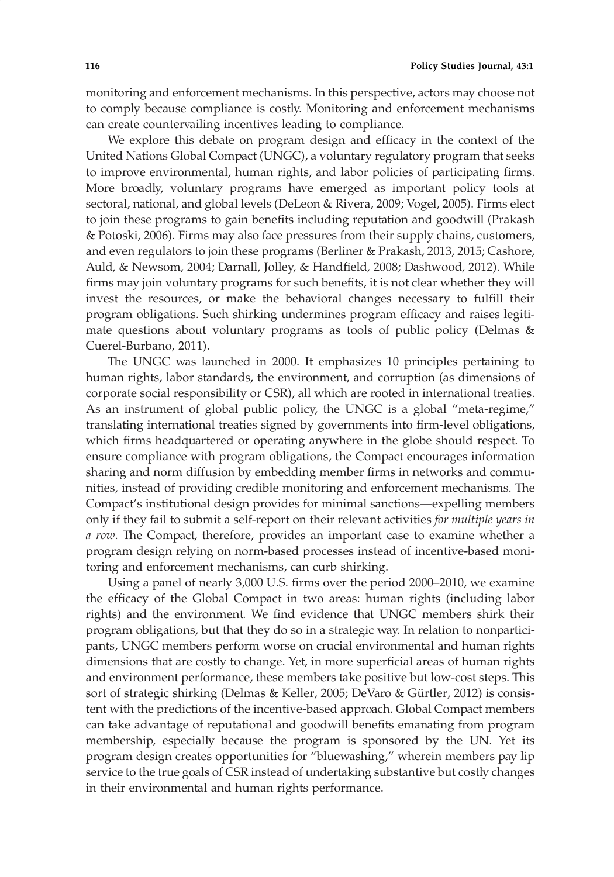monitoring and enforcement mechanisms. In this perspective, actors may choose not to comply because compliance is costly. Monitoring and enforcement mechanisms can create countervailing incentives leading to compliance.

We explore this debate on program design and efficacy in the context of the United Nations Global Compact (UNGC), a voluntary regulatory program that seeks to improve environmental, human rights, and labor policies of participating firms. More broadly, voluntary programs have emerged as important policy tools at sectoral, national, and global levels (DeLeon & Rivera, 2009; Vogel, 2005). Firms elect to join these programs to gain benefits including reputation and goodwill (Prakash & Potoski, 2006). Firms may also face pressures from their supply chains, customers, and even regulators to join these programs (Berliner & Prakash, 2013, 2015; Cashore, Auld, & Newsom, 2004; Darnall, Jolley, & Handfield, 2008; Dashwood, 2012). While firms may join voluntary programs for such benefits, it is not clear whether they will invest the resources, or make the behavioral changes necessary to fulfill their program obligations. Such shirking undermines program efficacy and raises legitimate questions about voluntary programs as tools of public policy (Delmas & Cuerel-Burbano, 2011).

The UNGC was launched in 2000. It emphasizes 10 principles pertaining to human rights, labor standards, the environment, and corruption (as dimensions of corporate social responsibility or CSR), all which are rooted in international treaties. As an instrument of global public policy, the UNGC is a global "meta-regime," translating international treaties signed by governments into firm-level obligations, which firms headquartered or operating anywhere in the globe should respect. To ensure compliance with program obligations, the Compact encourages information sharing and norm diffusion by embedding member firms in networks and communities, instead of providing credible monitoring and enforcement mechanisms. The Compact's institutional design provides for minimal sanctions—expelling members only if they fail to submit a self-report on their relevant activities *for multiple years in a row*. The Compact, therefore, provides an important case to examine whether a program design relying on norm-based processes instead of incentive-based monitoring and enforcement mechanisms, can curb shirking.

Using a panel of nearly 3,000 U.S. firms over the period 2000–2010, we examine the efficacy of the Global Compact in two areas: human rights (including labor rights) and the environment. We find evidence that UNGC members shirk their program obligations, but that they do so in a strategic way. In relation to nonparticipants, UNGC members perform worse on crucial environmental and human rights dimensions that are costly to change. Yet, in more superficial areas of human rights and environment performance, these members take positive but low-cost steps. This sort of strategic shirking (Delmas & Keller, 2005; DeVaro & Gürtler, 2012) is consistent with the predictions of the incentive-based approach. Global Compact members can take advantage of reputational and goodwill benefits emanating from program membership, especially because the program is sponsored by the UN. Yet its program design creates opportunities for "bluewashing," wherein members pay lip service to the true goals of CSR instead of undertaking substantive but costly changes in their environmental and human rights performance.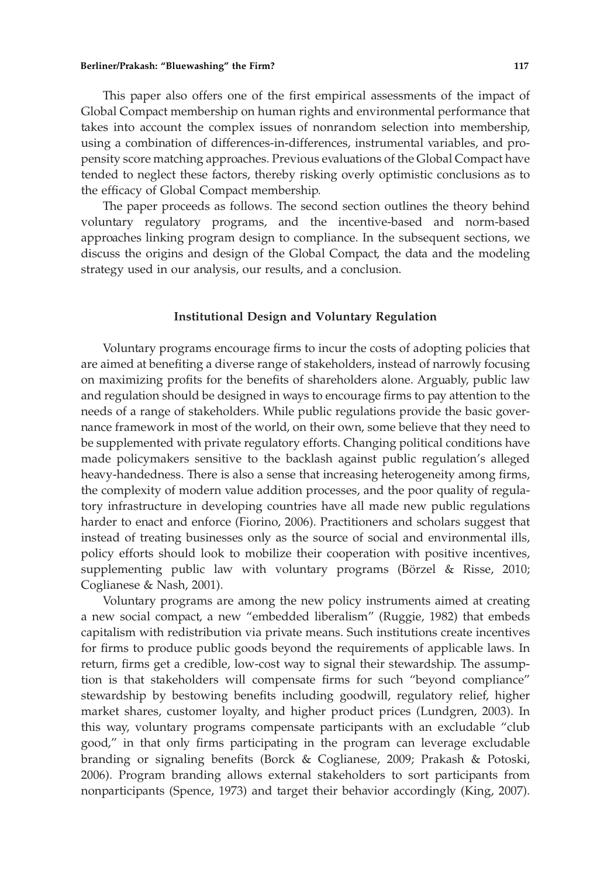#### **Berliner/Prakash: "Bluewashing" the Firm? 3** Berliner/Prakash: "Bluewashing" the Firm? 117

This paper also offers one of the first empirical assessments of the impact of Global Compact membership on human rights and environmental performance that takes into account the complex issues of nonrandom selection into membership, using a combination of differences-in-differences, instrumental variables, and propensity score matching approaches. Previous evaluations of the Global Compact have tended to neglect these factors, thereby risking overly optimistic conclusions as to the efficacy of Global Compact membership.

The paper proceeds as follows. The second section outlines the theory behind voluntary regulatory programs, and the incentive-based and norm-based approaches linking program design to compliance. In the subsequent sections, we discuss the origins and design of the Global Compact, the data and the modeling strategy used in our analysis, our results, and a conclusion.

## **Institutional Design and Voluntary Regulation**

Voluntary programs encourage firms to incur the costs of adopting policies that are aimed at benefiting a diverse range of stakeholders, instead of narrowly focusing on maximizing profits for the benefits of shareholders alone. Arguably, public law and regulation should be designed in ways to encourage firms to pay attention to the needs of a range of stakeholders. While public regulations provide the basic governance framework in most of the world, on their own, some believe that they need to be supplemented with private regulatory efforts. Changing political conditions have made policymakers sensitive to the backlash against public regulation's alleged heavy-handedness. There is also a sense that increasing heterogeneity among firms, the complexity of modern value addition processes, and the poor quality of regulatory infrastructure in developing countries have all made new public regulations harder to enact and enforce (Fiorino, 2006). Practitioners and scholars suggest that instead of treating businesses only as the source of social and environmental ills, policy efforts should look to mobilize their cooperation with positive incentives, supplementing public law with voluntary programs (Börzel & Risse, 2010; Coglianese & Nash, 2001).

Voluntary programs are among the new policy instruments aimed at creating a new social compact, a new "embedded liberalism" (Ruggie, 1982) that embeds capitalism with redistribution via private means. Such institutions create incentives for firms to produce public goods beyond the requirements of applicable laws. In return, firms get a credible, low-cost way to signal their stewardship. The assumption is that stakeholders will compensate firms for such "beyond compliance" stewardship by bestowing benefits including goodwill, regulatory relief, higher market shares, customer loyalty, and higher product prices (Lundgren, 2003). In this way, voluntary programs compensate participants with an excludable "club good," in that only firms participating in the program can leverage excludable branding or signaling benefits (Borck & Coglianese, 2009; Prakash & Potoski, 2006). Program branding allows external stakeholders to sort participants from nonparticipants (Spence, 1973) and target their behavior accordingly (King, 2007).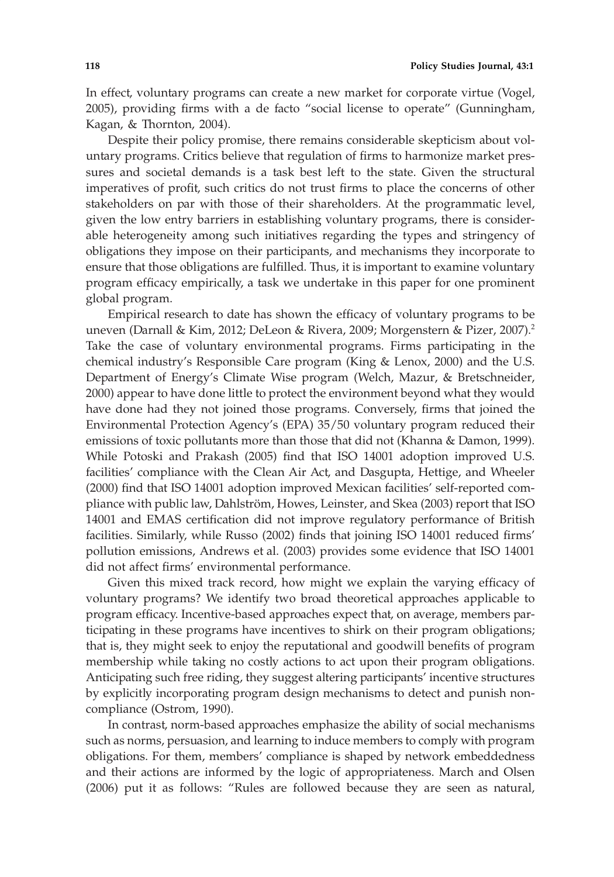In effect, voluntary programs can create a new market for corporate virtue (Vogel, 2005), providing firms with a de facto "social license to operate" (Gunningham, Kagan, & Thornton, 2004).

Despite their policy promise, there remains considerable skepticism about voluntary programs. Critics believe that regulation of firms to harmonize market pressures and societal demands is a task best left to the state. Given the structural imperatives of profit, such critics do not trust firms to place the concerns of other stakeholders on par with those of their shareholders. At the programmatic level, given the low entry barriers in establishing voluntary programs, there is considerable heterogeneity among such initiatives regarding the types and stringency of obligations they impose on their participants, and mechanisms they incorporate to ensure that those obligations are fulfilled. Thus, it is important to examine voluntary program efficacy empirically, a task we undertake in this paper for one prominent global program.

Empirical research to date has shown the efficacy of voluntary programs to be uneven (Darnall & Kim, 2012; DeLeon & Rivera, 2009; Morgenstern & Pizer, 2007).<sup>2</sup> Take the case of voluntary environmental programs. Firms participating in the chemical industry's Responsible Care program (King & Lenox, 2000) and the U.S. Department of Energy's Climate Wise program (Welch, Mazur, & Bretschneider, 2000) appear to have done little to protect the environment beyond what they would have done had they not joined those programs. Conversely, firms that joined the Environmental Protection Agency's (EPA) 35/50 voluntary program reduced their emissions of toxic pollutants more than those that did not (Khanna & Damon, 1999). While Potoski and Prakash (2005) find that ISO 14001 adoption improved U.S. facilities' compliance with the Clean Air Act, and Dasgupta, Hettige, and Wheeler (2000) find that ISO 14001 adoption improved Mexican facilities' self-reported compliance with public law, Dahlström, Howes, Leinster, and Skea (2003) report that ISO 14001 and EMAS certification did not improve regulatory performance of British facilities. Similarly, while Russo (2002) finds that joining ISO 14001 reduced firms' pollution emissions, Andrews et al. (2003) provides some evidence that ISO 14001 did not affect firms' environmental performance.

Given this mixed track record, how might we explain the varying efficacy of voluntary programs? We identify two broad theoretical approaches applicable to program efficacy. Incentive-based approaches expect that, on average, members participating in these programs have incentives to shirk on their program obligations; that is, they might seek to enjoy the reputational and goodwill benefits of program membership while taking no costly actions to act upon their program obligations. Anticipating such free riding, they suggest altering participants' incentive structures by explicitly incorporating program design mechanisms to detect and punish noncompliance (Ostrom, 1990).

In contrast, norm-based approaches emphasize the ability of social mechanisms such as norms, persuasion, and learning to induce members to comply with program obligations. For them, members' compliance is shaped by network embeddedness and their actions are informed by the logic of appropriateness. March and Olsen (2006) put it as follows: "Rules are followed because they are seen as natural,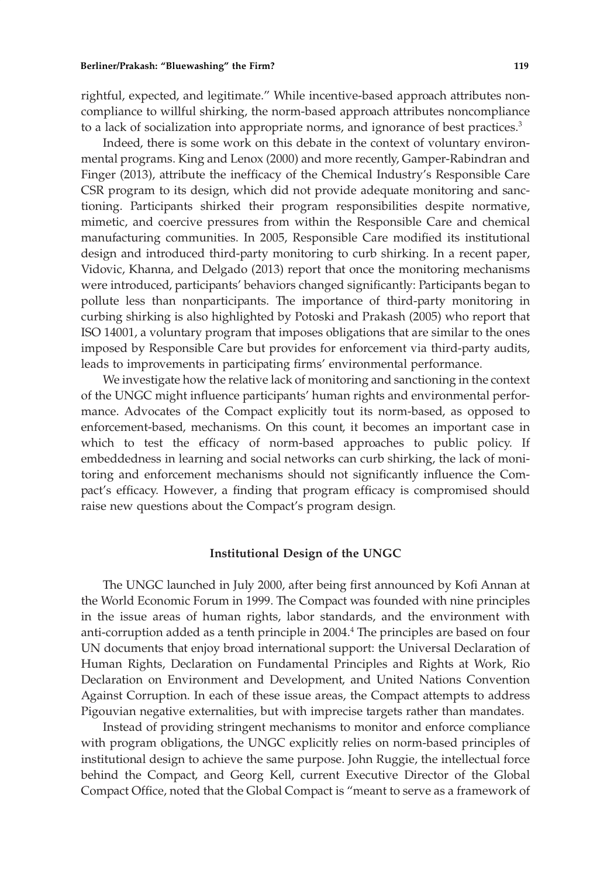rightful, expected, and legitimate." While incentive-based approach attributes noncompliance to willful shirking, the norm-based approach attributes noncompliance to a lack of socialization into appropriate norms, and ignorance of best practices.<sup>3</sup>

Indeed, there is some work on this debate in the context of voluntary environmental programs. King and Lenox (2000) and more recently, Gamper-Rabindran and Finger (2013), attribute the inefficacy of the Chemical Industry's Responsible Care CSR program to its design, which did not provide adequate monitoring and sanctioning. Participants shirked their program responsibilities despite normative, mimetic, and coercive pressures from within the Responsible Care and chemical manufacturing communities. In 2005, Responsible Care modified its institutional design and introduced third-party monitoring to curb shirking. In a recent paper, Vidovic, Khanna, and Delgado (2013) report that once the monitoring mechanisms were introduced, participants' behaviors changed significantly: Participants began to pollute less than nonparticipants. The importance of third-party monitoring in curbing shirking is also highlighted by Potoski and Prakash (2005) who report that ISO 14001, a voluntary program that imposes obligations that are similar to the ones imposed by Responsible Care but provides for enforcement via third-party audits, leads to improvements in participating firms' environmental performance.

We investigate how the relative lack of monitoring and sanctioning in the context of the UNGC might influence participants' human rights and environmental performance. Advocates of the Compact explicitly tout its norm-based, as opposed to enforcement-based, mechanisms. On this count, it becomes an important case in which to test the efficacy of norm-based approaches to public policy. If embeddedness in learning and social networks can curb shirking, the lack of monitoring and enforcement mechanisms should not significantly influence the Compact's efficacy. However, a finding that program efficacy is compromised should raise new questions about the Compact's program design.

## **Institutional Design of the UNGC**

The UNGC launched in July 2000, after being first announced by Kofi Annan at the World Economic Forum in 1999. The Compact was founded with nine principles in the issue areas of human rights, labor standards, and the environment with anti-corruption added as a tenth principle in 2004.<sup>4</sup> The principles are based on four UN documents that enjoy broad international support: the Universal Declaration of Human Rights, Declaration on Fundamental Principles and Rights at Work, Rio Declaration on Environment and Development, and United Nations Convention Against Corruption. In each of these issue areas, the Compact attempts to address Pigouvian negative externalities, but with imprecise targets rather than mandates.

Instead of providing stringent mechanisms to monitor and enforce compliance with program obligations, the UNGC explicitly relies on norm-based principles of institutional design to achieve the same purpose. John Ruggie, the intellectual force behind the Compact, and Georg Kell, current Executive Director of the Global Compact Office, noted that the Global Compact is "meant to serve as a framework of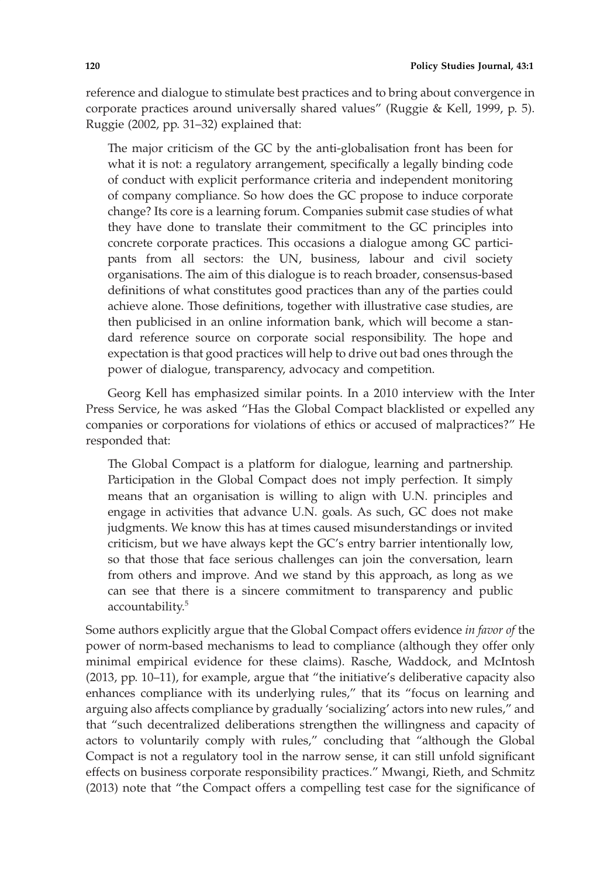reference and dialogue to stimulate best practices and to bring about convergence in corporate practices around universally shared values" (Ruggie & Kell, 1999, p. 5). Ruggie (2002, pp. 31–32) explained that:

The major criticism of the GC by the anti-globalisation front has been for what it is not: a regulatory arrangement, specifically a legally binding code of conduct with explicit performance criteria and independent monitoring of company compliance. So how does the GC propose to induce corporate change? Its core is a learning forum. Companies submit case studies of what they have done to translate their commitment to the GC principles into concrete corporate practices. This occasions a dialogue among GC participants from all sectors: the UN, business, labour and civil society organisations. The aim of this dialogue is to reach broader, consensus-based definitions of what constitutes good practices than any of the parties could achieve alone. Those definitions, together with illustrative case studies, are then publicised in an online information bank, which will become a standard reference source on corporate social responsibility. The hope and expectation is that good practices will help to drive out bad ones through the power of dialogue, transparency, advocacy and competition.

Georg Kell has emphasized similar points. In a 2010 interview with the Inter Press Service, he was asked "Has the Global Compact blacklisted or expelled any companies or corporations for violations of ethics or accused of malpractices?" He responded that:

The Global Compact is a platform for dialogue, learning and partnership. Participation in the Global Compact does not imply perfection. It simply means that an organisation is willing to align with U.N. principles and engage in activities that advance U.N. goals. As such, GC does not make judgments. We know this has at times caused misunderstandings or invited criticism, but we have always kept the GC's entry barrier intentionally low, so that those that face serious challenges can join the conversation, learn from others and improve. And we stand by this approach, as long as we can see that there is a sincere commitment to transparency and public accountability.5

Some authors explicitly argue that the Global Compact offers evidence *in favor of* the power of norm-based mechanisms to lead to compliance (although they offer only minimal empirical evidence for these claims). Rasche, Waddock, and McIntosh (2013, pp. 10–11), for example, argue that "the initiative's deliberative capacity also enhances compliance with its underlying rules," that its "focus on learning and arguing also affects compliance by gradually 'socializing' actors into new rules," and that "such decentralized deliberations strengthen the willingness and capacity of actors to voluntarily comply with rules," concluding that "although the Global Compact is not a regulatory tool in the narrow sense, it can still unfold significant effects on business corporate responsibility practices." Mwangi, Rieth, and Schmitz (2013) note that "the Compact offers a compelling test case for the significance of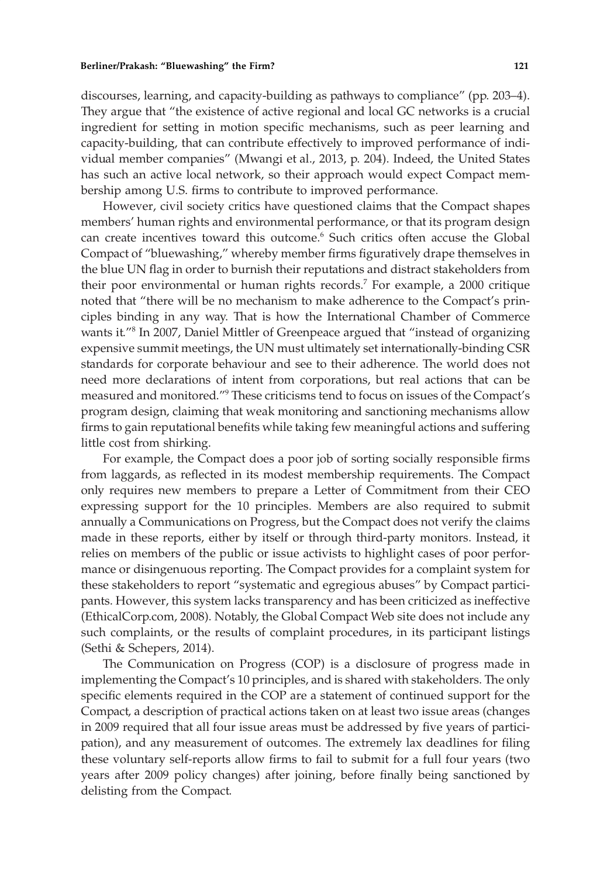#### **Berliner/Prakash: "Bluewashing" the Firm? 7** Berliner/Prakash: "Bluewashing" the Firm? 121

discourses, learning, and capacity-building as pathways to compliance" (pp. 203–4). They argue that "the existence of active regional and local GC networks is a crucial ingredient for setting in motion specific mechanisms, such as peer learning and capacity-building, that can contribute effectively to improved performance of individual member companies" (Mwangi et al., 2013, p. 204). Indeed, the United States has such an active local network, so their approach would expect Compact membership among U.S. firms to contribute to improved performance.

However, civil society critics have questioned claims that the Compact shapes members' human rights and environmental performance, or that its program design can create incentives toward this outcome.<sup>6</sup> Such critics often accuse the Global Compact of "bluewashing," whereby member firms figuratively drape themselves in the blue UN flag in order to burnish their reputations and distract stakeholders from their poor environmental or human rights records.7 For example, a 2000 critique noted that "there will be no mechanism to make adherence to the Compact's principles binding in any way. That is how the International Chamber of Commerce wants it."8 In 2007, Daniel Mittler of Greenpeace argued that "instead of organizing expensive summit meetings, the UN must ultimately set internationally-binding CSR standards for corporate behaviour and see to their adherence. The world does not need more declarations of intent from corporations, but real actions that can be measured and monitored."9 These criticisms tend to focus on issues of the Compact's program design, claiming that weak monitoring and sanctioning mechanisms allow firms to gain reputational benefits while taking few meaningful actions and suffering little cost from shirking.

For example, the Compact does a poor job of sorting socially responsible firms from laggards, as reflected in its modest membership requirements. The Compact only requires new members to prepare a Letter of Commitment from their CEO expressing support for the 10 principles. Members are also required to submit annually a Communications on Progress, but the Compact does not verify the claims made in these reports, either by itself or through third-party monitors. Instead, it relies on members of the public or issue activists to highlight cases of poor performance or disingenuous reporting. The Compact provides for a complaint system for these stakeholders to report "systematic and egregious abuses" by Compact participants. However, this system lacks transparency and has been criticized as ineffective (EthicalCorp.com, 2008). Notably, the Global Compact Web site does not include any such complaints, or the results of complaint procedures, in its participant listings (Sethi & Schepers, 2014).

The Communication on Progress (COP) is a disclosure of progress made in implementing the Compact's 10 principles, and is shared with stakeholders. The only specific elements required in the COP are a statement of continued support for the Compact, a description of practical actions taken on at least two issue areas (changes in 2009 required that all four issue areas must be addressed by five years of participation), and any measurement of outcomes. The extremely lax deadlines for filing these voluntary self-reports allow firms to fail to submit for a full four years (two years after 2009 policy changes) after joining, before finally being sanctioned by delisting from the Compact.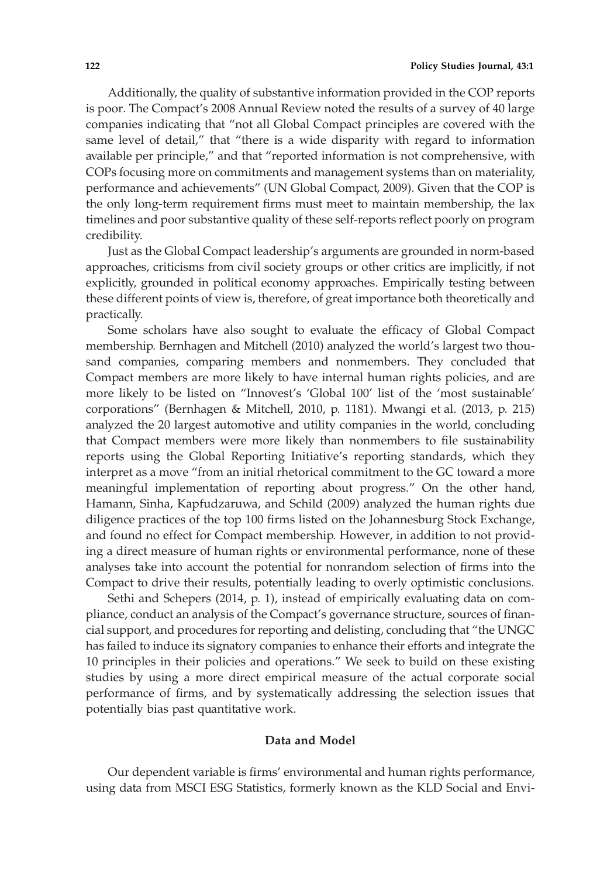Additionally, the quality of substantive information provided in the COP reports is poor. The Compact's 2008 Annual Review noted the results of a survey of 40 large companies indicating that "not all Global Compact principles are covered with the same level of detail," that "there is a wide disparity with regard to information available per principle," and that "reported information is not comprehensive, with COPs focusing more on commitments and management systems than on materiality, performance and achievements" (UN Global Compact, 2009). Given that the COP is the only long-term requirement firms must meet to maintain membership, the lax timelines and poor substantive quality of these self-reports reflect poorly on program credibility.

Just as the Global Compact leadership's arguments are grounded in norm-based approaches, criticisms from civil society groups or other critics are implicitly, if not explicitly, grounded in political economy approaches. Empirically testing between these different points of view is, therefore, of great importance both theoretically and practically.

Some scholars have also sought to evaluate the efficacy of Global Compact membership. Bernhagen and Mitchell (2010) analyzed the world's largest two thousand companies, comparing members and nonmembers. They concluded that Compact members are more likely to have internal human rights policies, and are more likely to be listed on "Innovest's 'Global 100' list of the 'most sustainable' corporations" (Bernhagen & Mitchell, 2010, p. 1181). Mwangi et al. (2013, p. 215) analyzed the 20 largest automotive and utility companies in the world, concluding that Compact members were more likely than nonmembers to file sustainability reports using the Global Reporting Initiative's reporting standards, which they interpret as a move "from an initial rhetorical commitment to the GC toward a more meaningful implementation of reporting about progress." On the other hand, Hamann, Sinha, Kapfudzaruwa, and Schild (2009) analyzed the human rights due diligence practices of the top 100 firms listed on the Johannesburg Stock Exchange, and found no effect for Compact membership. However, in addition to not providing a direct measure of human rights or environmental performance, none of these analyses take into account the potential for nonrandom selection of firms into the Compact to drive their results, potentially leading to overly optimistic conclusions.

Sethi and Schepers (2014, p. 1), instead of empirically evaluating data on compliance, conduct an analysis of the Compact's governance structure, sources of financial support, and procedures for reporting and delisting, concluding that "the UNGC has failed to induce its signatory companies to enhance their efforts and integrate the 10 principles in their policies and operations." We seek to build on these existing studies by using a more direct empirical measure of the actual corporate social performance of firms, and by systematically addressing the selection issues that potentially bias past quantitative work.

## **Data and Model**

Our dependent variable is firms' environmental and human rights performance, using data from MSCI ESG Statistics, formerly known as the KLD Social and Envi-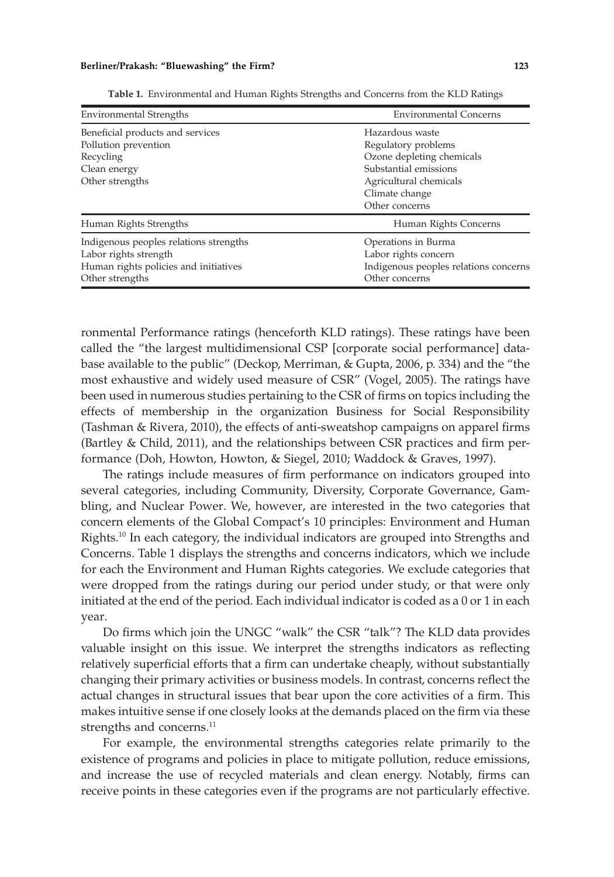| <b>Environmental Strengths</b>                                                                                              | <b>Environmental Concerns</b>                                                                                                                              |
|-----------------------------------------------------------------------------------------------------------------------------|------------------------------------------------------------------------------------------------------------------------------------------------------------|
| Beneficial products and services<br>Pollution prevention<br>Recycling<br>Clean energy<br>Other strengths                    | Hazardous waste<br>Regulatory problems<br>Ozone depleting chemicals<br>Substantial emissions<br>Agricultural chemicals<br>Climate change<br>Other concerns |
| Human Rights Strengths                                                                                                      | Human Rights Concerns                                                                                                                                      |
| Indigenous peoples relations strengths<br>Labor rights strength<br>Human rights policies and initiatives<br>Other strengths | Operations in Burma<br>Labor rights concern<br>Indigenous peoples relations concerns<br>Other concerns                                                     |

**Table 1.** Environmental and Human Rights Strengths and Concerns from the KLD Ratings

ronmental Performance ratings (henceforth KLD ratings). These ratings have been called the "the largest multidimensional CSP [corporate social performance] database available to the public" (Deckop, Merriman, & Gupta, 2006, p. 334) and the "the most exhaustive and widely used measure of CSR" (Vogel, 2005). The ratings have been used in numerous studies pertaining to the CSR of firms on topics including the effects of membership in the organization Business for Social Responsibility (Tashman & Rivera, 2010), the effects of anti-sweatshop campaigns on apparel firms (Bartley & Child, 2011), and the relationships between CSR practices and firm performance (Doh, Howton, Howton, & Siegel, 2010; Waddock & Graves, 1997).

The ratings include measures of firm performance on indicators grouped into several categories, including Community, Diversity, Corporate Governance, Gambling, and Nuclear Power. We, however, are interested in the two categories that concern elements of the Global Compact's 10 principles: Environment and Human Rights.<sup>10</sup> In each category, the individual indicators are grouped into Strengths and Concerns. Table 1 displays the strengths and concerns indicators, which we include for each the Environment and Human Rights categories. We exclude categories that were dropped from the ratings during our period under study, or that were only initiated at the end of the period. Each individual indicator is coded as a 0 or 1 in each year.

Do firms which join the UNGC "walk" the CSR "talk"? The KLD data provides valuable insight on this issue. We interpret the strengths indicators as reflecting relatively superficial efforts that a firm can undertake cheaply, without substantially changing their primary activities or business models. In contrast, concerns reflect the actual changes in structural issues that bear upon the core activities of a firm. This makes intuitive sense if one closely looks at the demands placed on the firm via these strengths and concerns.<sup>11</sup>

For example, the environmental strengths categories relate primarily to the existence of programs and policies in place to mitigate pollution, reduce emissions, and increase the use of recycled materials and clean energy. Notably, firms can receive points in these categories even if the programs are not particularly effective.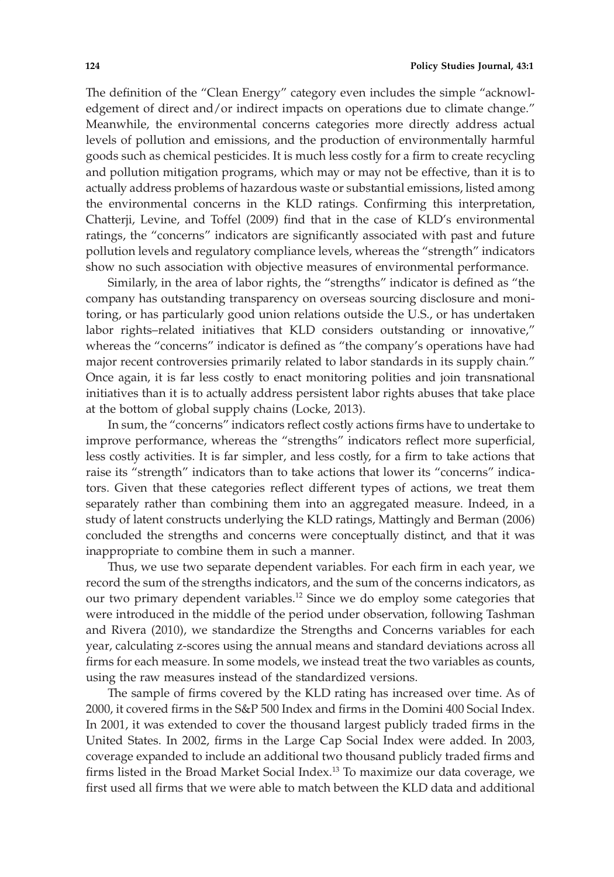The definition of the "Clean Energy" category even includes the simple "acknowledgement of direct and/or indirect impacts on operations due to climate change." Meanwhile, the environmental concerns categories more directly address actual levels of pollution and emissions, and the production of environmentally harmful goods such as chemical pesticides. It is much less costly for a firm to create recycling and pollution mitigation programs, which may or may not be effective, than it is to actually address problems of hazardous waste or substantial emissions, listed among the environmental concerns in the KLD ratings. Confirming this interpretation, Chatterji, Levine, and Toffel (2009) find that in the case of KLD's environmental ratings, the "concerns" indicators are significantly associated with past and future pollution levels and regulatory compliance levels, whereas the "strength" indicators show no such association with objective measures of environmental performance.

Similarly, in the area of labor rights, the "strengths" indicator is defined as "the company has outstanding transparency on overseas sourcing disclosure and monitoring, or has particularly good union relations outside the U.S., or has undertaken labor rights–related initiatives that KLD considers outstanding or innovative," whereas the "concerns" indicator is defined as "the company's operations have had major recent controversies primarily related to labor standards in its supply chain." Once again, it is far less costly to enact monitoring polities and join transnational initiatives than it is to actually address persistent labor rights abuses that take place at the bottom of global supply chains (Locke, 2013).

In sum, the "concerns" indicators reflect costly actions firms have to undertake to improve performance, whereas the "strengths" indicators reflect more superficial, less costly activities. It is far simpler, and less costly, for a firm to take actions that raise its "strength" indicators than to take actions that lower its "concerns" indicators. Given that these categories reflect different types of actions, we treat them separately rather than combining them into an aggregated measure. Indeed, in a study of latent constructs underlying the KLD ratings, Mattingly and Berman (2006) concluded the strengths and concerns were conceptually distinct, and that it was inappropriate to combine them in such a manner.

Thus, we use two separate dependent variables. For each firm in each year, we record the sum of the strengths indicators, and the sum of the concerns indicators, as our two primary dependent variables.<sup>12</sup> Since we do employ some categories that were introduced in the middle of the period under observation, following Tashman and Rivera (2010), we standardize the Strengths and Concerns variables for each year, calculating z-scores using the annual means and standard deviations across all firms for each measure. In some models, we instead treat the two variables as counts, using the raw measures instead of the standardized versions.

The sample of firms covered by the KLD rating has increased over time. As of 2000, it covered firms in the S&P 500 Index and firms in the Domini 400 Social Index. In 2001, it was extended to cover the thousand largest publicly traded firms in the United States. In 2002, firms in the Large Cap Social Index were added. In 2003, coverage expanded to include an additional two thousand publicly traded firms and firms listed in the Broad Market Social Index.<sup>13</sup> To maximize our data coverage, we first used all firms that we were able to match between the KLD data and additional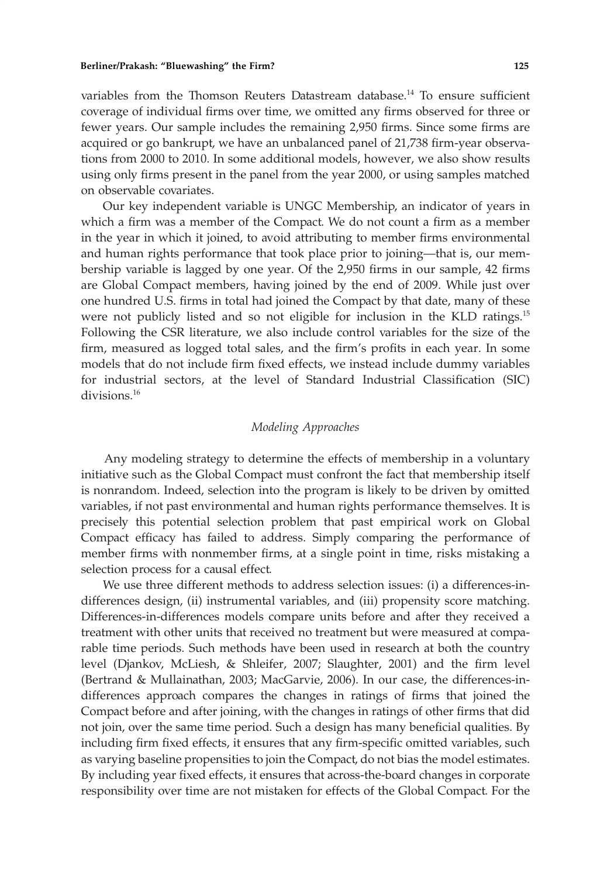variables from the Thomson Reuters Datastream database.<sup>14</sup> To ensure sufficient coverage of individual firms over time, we omitted any firms observed for three or fewer years. Our sample includes the remaining 2,950 firms. Since some firms are acquired or go bankrupt, we have an unbalanced panel of 21,738 firm-year observations from 2000 to 2010. In some additional models, however, we also show results using only firms present in the panel from the year 2000, or using samples matched on observable covariates.

Our key independent variable is UNGC Membership, an indicator of years in which a firm was a member of the Compact. We do not count a firm as a member in the year in which it joined, to avoid attributing to member firms environmental and human rights performance that took place prior to joining—that is, our membership variable is lagged by one year. Of the 2,950 firms in our sample, 42 firms are Global Compact members, having joined by the end of 2009. While just over one hundred U.S. firms in total had joined the Compact by that date, many of these were not publicly listed and so not eligible for inclusion in the KLD ratings.15 Following the CSR literature, we also include control variables for the size of the firm, measured as logged total sales, and the firm's profits in each year. In some models that do not include firm fixed effects, we instead include dummy variables for industrial sectors, at the level of Standard Industrial Classification (SIC) divisions<sup>16</sup>

# *Modeling Approaches*

Any modeling strategy to determine the effects of membership in a voluntary initiative such as the Global Compact must confront the fact that membership itself is nonrandom. Indeed, selection into the program is likely to be driven by omitted variables, if not past environmental and human rights performance themselves. It is precisely this potential selection problem that past empirical work on Global Compact efficacy has failed to address. Simply comparing the performance of member firms with nonmember firms, at a single point in time, risks mistaking a selection process for a causal effect.

We use three different methods to address selection issues: (i) a differences-indifferences design, (ii) instrumental variables, and (iii) propensity score matching. Differences-in-differences models compare units before and after they received a treatment with other units that received no treatment but were measured at comparable time periods. Such methods have been used in research at both the country level (Djankov, McLiesh, & Shleifer, 2007; Slaughter, 2001) and the firm level (Bertrand & Mullainathan, 2003; MacGarvie, 2006). In our case, the differences-indifferences approach compares the changes in ratings of firms that joined the Compact before and after joining, with the changes in ratings of other firms that did not join, over the same time period. Such a design has many beneficial qualities. By including firm fixed effects, it ensures that any firm-specific omitted variables, such as varying baseline propensities to join the Compact, do not bias the model estimates. By including year fixed effects, it ensures that across-the-board changes in corporate responsibility over time are not mistaken for effects of the Global Compact. For the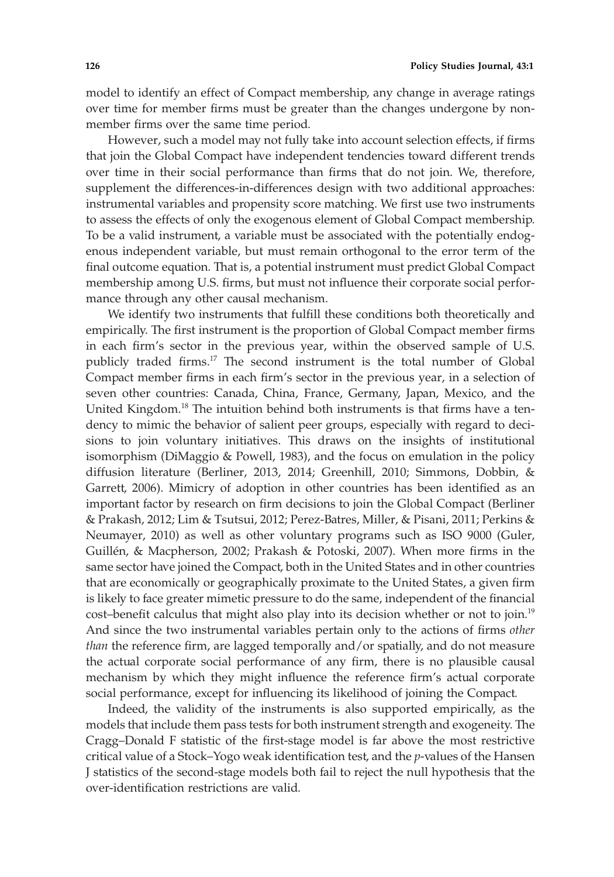model to identify an effect of Compact membership, any change in average ratings over time for member firms must be greater than the changes undergone by nonmember firms over the same time period.

However, such a model may not fully take into account selection effects, if firms that join the Global Compact have independent tendencies toward different trends over time in their social performance than firms that do not join. We, therefore, supplement the differences-in-differences design with two additional approaches: instrumental variables and propensity score matching. We first use two instruments to assess the effects of only the exogenous element of Global Compact membership. To be a valid instrument, a variable must be associated with the potentially endogenous independent variable, but must remain orthogonal to the error term of the final outcome equation. That is, a potential instrument must predict Global Compact membership among U.S. firms, but must not influence their corporate social performance through any other causal mechanism.

We identify two instruments that fulfill these conditions both theoretically and empirically. The first instrument is the proportion of Global Compact member firms in each firm's sector in the previous year, within the observed sample of U.S. publicly traded firms.<sup>17</sup> The second instrument is the total number of Global Compact member firms in each firm's sector in the previous year, in a selection of seven other countries: Canada, China, France, Germany, Japan, Mexico, and the United Kingdom.<sup>18</sup> The intuition behind both instruments is that firms have a tendency to mimic the behavior of salient peer groups, especially with regard to decisions to join voluntary initiatives. This draws on the insights of institutional isomorphism (DiMaggio & Powell, 1983), and the focus on emulation in the policy diffusion literature (Berliner, 2013, 2014; Greenhill, 2010; Simmons, Dobbin, & Garrett, 2006). Mimicry of adoption in other countries has been identified as an important factor by research on firm decisions to join the Global Compact (Berliner & Prakash, 2012; Lim & Tsutsui, 2012; Perez-Batres, Miller, & Pisani, 2011; Perkins & Neumayer, 2010) as well as other voluntary programs such as ISO 9000 (Guler, Guillén, & Macpherson, 2002; Prakash & Potoski, 2007). When more firms in the same sector have joined the Compact, both in the United States and in other countries that are economically or geographically proximate to the United States, a given firm is likely to face greater mimetic pressure to do the same, independent of the financial cost-benefit calculus that might also play into its decision whether or not to join.<sup>19</sup> And since the two instrumental variables pertain only to the actions of firms *other than* the reference firm, are lagged temporally and/or spatially, and do not measure the actual corporate social performance of any firm, there is no plausible causal mechanism by which they might influence the reference firm's actual corporate social performance, except for influencing its likelihood of joining the Compact.

Indeed, the validity of the instruments is also supported empirically, as the models that include them pass tests for both instrument strength and exogeneity. The Cragg–Donald F statistic of the first-stage model is far above the most restrictive critical value of a Stock–Yogo weak identification test, and the *p*-values of the Hansen J statistics of the second-stage models both fail to reject the null hypothesis that the over-identification restrictions are valid.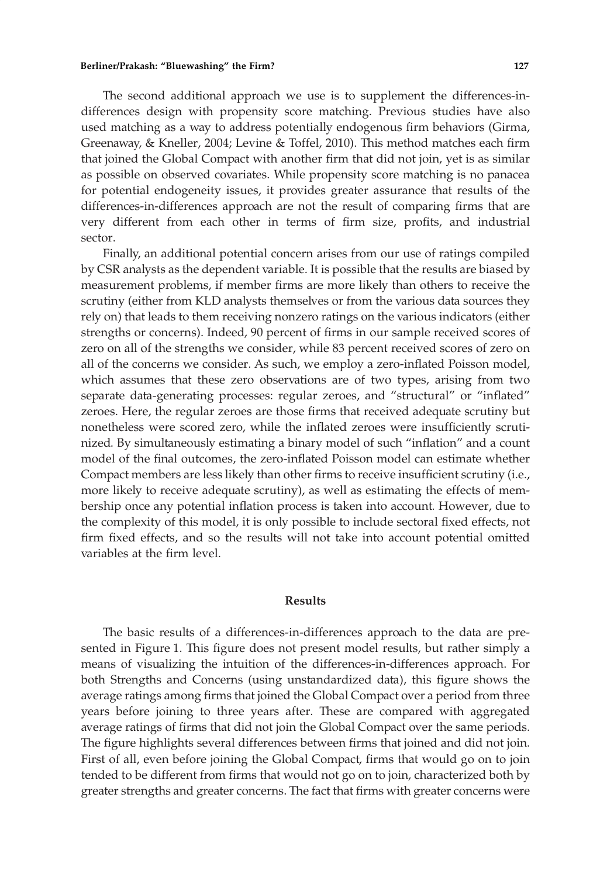#### **Berliner/Prakash: "Bluewashing" the Firm? 127 Berliner/Prakash: 127**

The second additional approach we use is to supplement the differences-indifferences design with propensity score matching. Previous studies have also used matching as a way to address potentially endogenous firm behaviors (Girma, Greenaway, & Kneller, 2004; Levine & Toffel, 2010). This method matches each firm that joined the Global Compact with another firm that did not join, yet is as similar as possible on observed covariates. While propensity score matching is no panacea for potential endogeneity issues, it provides greater assurance that results of the differences-in-differences approach are not the result of comparing firms that are very different from each other in terms of firm size, profits, and industrial sector.

Finally, an additional potential concern arises from our use of ratings compiled by CSR analysts as the dependent variable. It is possible that the results are biased by measurement problems, if member firms are more likely than others to receive the scrutiny (either from KLD analysts themselves or from the various data sources they rely on) that leads to them receiving nonzero ratings on the various indicators (either strengths or concerns). Indeed, 90 percent of firms in our sample received scores of zero on all of the strengths we consider, while 83 percent received scores of zero on all of the concerns we consider. As such, we employ a zero-inflated Poisson model, which assumes that these zero observations are of two types, arising from two separate data-generating processes: regular zeroes, and "structural" or "inflated" zeroes. Here, the regular zeroes are those firms that received adequate scrutiny but nonetheless were scored zero, while the inflated zeroes were insufficiently scrutinized. By simultaneously estimating a binary model of such "inflation" and a count model of the final outcomes, the zero-inflated Poisson model can estimate whether Compact members are less likely than other firms to receive insufficient scrutiny (i.e., more likely to receive adequate scrutiny), as well as estimating the effects of membership once any potential inflation process is taken into account. However, due to the complexity of this model, it is only possible to include sectoral fixed effects, not firm fixed effects, and so the results will not take into account potential omitted variables at the firm level.

### **Results**

The basic results of a differences-in-differences approach to the data are presented in Figure 1. This figure does not present model results, but rather simply a means of visualizing the intuition of the differences-in-differences approach. For both Strengths and Concerns (using unstandardized data), this figure shows the average ratings among firms that joined the Global Compact over a period from three years before joining to three years after. These are compared with aggregated average ratings of firms that did not join the Global Compact over the same periods. The figure highlights several differences between firms that joined and did not join. First of all, even before joining the Global Compact, firms that would go on to join tended to be different from firms that would not go on to join, characterized both by greater strengths and greater concerns. The fact that firms with greater concerns were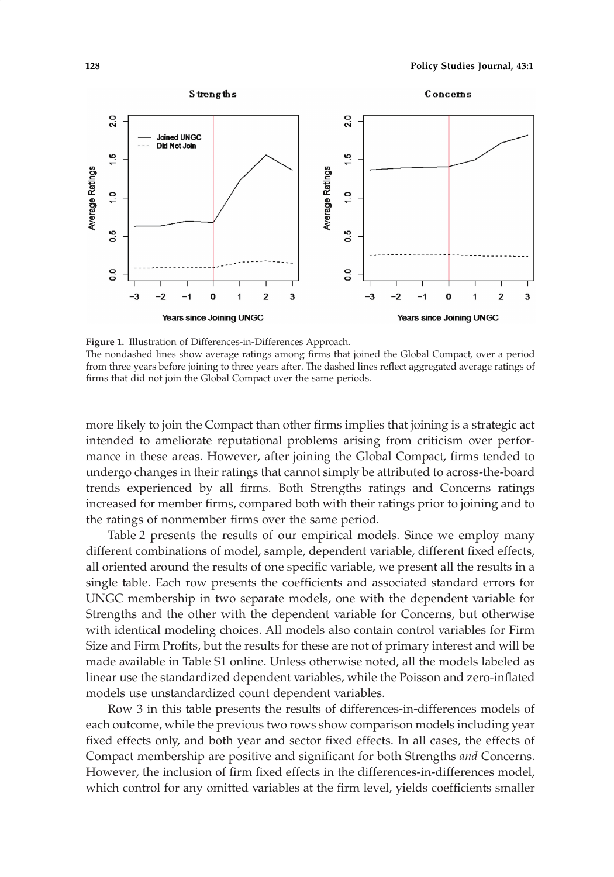

**Figure 1.** Illustration of Differences-in-Differences Approach. The nondashed lines show average ratings among firms that joined the Global Compact, over a period from three years before joining to three years after. The dashed lines reflect aggregated average ratings of firms that did not join the Global Compact over the same periods.

more likely to join the Compact than other firms implies that joining is a strategic act intended to ameliorate reputational problems arising from criticism over performance in these areas. However, after joining the Global Compact, firms tended to undergo changes in their ratings that cannot simply be attributed to across-the-board trends experienced by all firms. Both Strengths ratings and Concerns ratings increased for member firms, compared both with their ratings prior to joining and to the ratings of nonmember firms over the same period.

Table 2 presents the results of our empirical models. Since we employ many different combinations of model, sample, dependent variable, different fixed effects, all oriented around the results of one specific variable, we present all the results in a single table. Each row presents the coefficients and associated standard errors for UNGC membership in two separate models, one with the dependent variable for Strengths and the other with the dependent variable for Concerns, but otherwise with identical modeling choices. All models also contain control variables for Firm Size and Firm Profits, but the results for these are not of primary interest and will be made available in Table S1 online. Unless otherwise noted, all the models labeled as linear use the standardized dependent variables, while the Poisson and zero-inflated models use unstandardized count dependent variables.

Row 3 in this table presents the results of differences-in-differences models of each outcome, while the previous two rows show comparison models including year fixed effects only, and both year and sector fixed effects. In all cases, the effects of Compact membership are positive and significant for both Strengths *and* Concerns. However, the inclusion of firm fixed effects in the differences-in-differences model, which control for any omitted variables at the firm level, yields coefficients smaller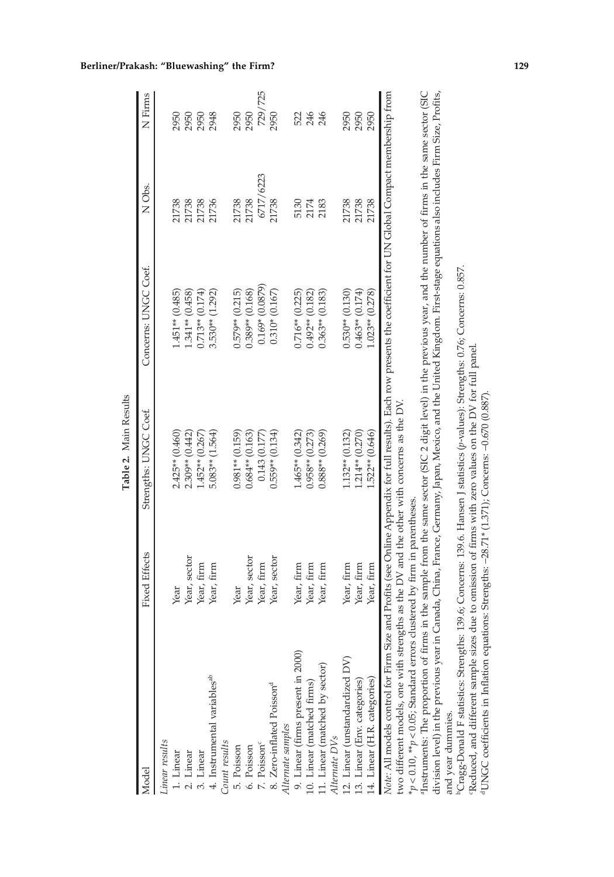| Model                                                                                                                                                                                                                 | <b>Fixed Effects</b> | Strengths: UNGC Coef. | Concerns: UNGC Coef.                                                                                                        | N Obs.    | N Firms |
|-----------------------------------------------------------------------------------------------------------------------------------------------------------------------------------------------------------------------|----------------------|-----------------------|-----------------------------------------------------------------------------------------------------------------------------|-----------|---------|
| inear results                                                                                                                                                                                                         |                      |                       |                                                                                                                             |           |         |
| 1. Linear                                                                                                                                                                                                             | Year                 | $2.425**$ (0.460)     | $.451**$ (0.485)                                                                                                            | 21738     | 2950    |
|                                                                                                                                                                                                                       | Year, sector         | $2.309**$ (0.442)     | $1.341**$ (0.458)                                                                                                           | 21738     | 2950    |
| 2. Linear<br>3. Linear                                                                                                                                                                                                | Year, firm           | $.452**$ (0.267)      | $0.713**$ $(0.174)$                                                                                                         | 21738     | 2950    |
| 4. Instrumental variables <sup>ab</sup>                                                                                                                                                                               | Year, firm           | $5.083**$ (1.564)     | 3.530** (1.292)                                                                                                             | 21736     | 2948    |
| Count results                                                                                                                                                                                                         |                      |                       |                                                                                                                             |           |         |
| 5. Poisson                                                                                                                                                                                                            | Year                 | $0.981**$ (0.159)     | $0.579**$ $(0.215)$                                                                                                         | 21738     | 2950    |
| 6. Poisson                                                                                                                                                                                                            | Year, sector         | $0.684**$ (0.163)     | $0.389**$ (0.168)                                                                                                           | 21738     | 2950    |
| 7. Poisson <sup>c</sup>                                                                                                                                                                                               | Year, firm           | 0.143 (0.177          | $0.169*$ (0.0879)                                                                                                           | 6717/6223 | 729/725 |
| 8. Zero-inflated Poisson <sup>d</sup>                                                                                                                                                                                 | Year, sector         | $0.559**$ $(0.134)$   | $0.310*(0.167)$                                                                                                             | 21738     | 2950    |
| Alternate samples                                                                                                                                                                                                     |                      |                       |                                                                                                                             |           |         |
| 9. Linear (firms present in 2000)                                                                                                                                                                                     | Year, firm           | $1.465**$ $(0.342)$   | $0.716**$ $(0.225)$                                                                                                         | 5130      | 522     |
| 10. Linear (matched firms)                                                                                                                                                                                            | Year, firm           | $0.958**$ $(0.273)$   | $0.492**$ (0.182)                                                                                                           | 2174      | 246     |
| 11. Linear (matched by sector)                                                                                                                                                                                        | Year, firm           | $0.888**$ (0.269)     | $0.363**$ (0.183)                                                                                                           | 2183      | 246     |
| Alternate DVs                                                                                                                                                                                                         |                      |                       |                                                                                                                             |           |         |
| 12. Linear (unstandardized DV)<br>13. Linear (Env. categories)                                                                                                                                                        | Year, firm           | $.132**$ (0.132)      | $0.530**$ (0.130)                                                                                                           | 21738     | 2950    |
|                                                                                                                                                                                                                       | Year, firm           | $1.214**$ $(0.270)$   | $0.463**$ $(0.174)$                                                                                                         | 21738     | 2950    |
| 4. Linear (H.R. categories)                                                                                                                                                                                           | Year, firm           | $1.522**$ $(0.646)$   | $1.023**$ (0.278)                                                                                                           | 21738     | 2950    |
| two different models, one with strengths as the DV and the other with concerns as the DV.<br>$p < 0.10$ , ** $p < 0.05$ ; Standard errors clustered by firm in parentheses.<br>Note: All models control for Firm Size |                      |                       | and Profits (see Online Appendix for full results). Each row presents the coefficient for UN Global Compact membership from |           |         |
|                                                                                                                                                                                                                       |                      |                       |                                                                                                                             |           |         |

a histruments: The proportion of firms in the sample from the same sector (SIC 2 digit level) in the previous year, and the number of firms in the same sector (SIC) division level) in the previous year in Canada, China, France, Germany, Japan, Mexico, and the United Kingdom. First-stage equations also includes Firm Size, Profits, \*p<0.10,\*\*p<0.05; Standard errors clustered by firm in parentheses.<br>"Instruments: The proportion of firms in the sample from the same sector (SIC 2 digit level) in the previous year, and the number of firms in the same se division level) in the previous year in Canada, China, France, Germany, Japan, Mexico, and the United Kingdom. First-stage equations also includes Firm Size, Profits, and year dummies. and year dummies.

<sup>b</sup>Cragg-Donald F statistics: Strengths: 139.6; Concerns: 139.6. Hansen J statistics (p-values): Strengths: 0.76; Concerns: 0.857. <sup>6</sup>Cragg-Donald F statistics: Strengths: 139.6; Concerns: 139.6. Hansen J statistics (p-values): Strengths: 0.76; Concerns: 0.857.<br>'Reduced, and different sample sizes due to omission of firms with zero values on the DV fo

Tecluced, and different sample sizes due to omission of firms with zero values on the DV for full panel.<br><sup>4</sup>UNGC coefficients in Inflation equations: Strengths:  $-28.71$ <sup>\*</sup> (1.371); Concerns:  $-0.670$  (0.887).

dUNGC coefficients in Inflation equations: Strengths: −28.71\* (1.371); Concerns: −0.670 (0.887).

# Berliner/Prakash: "Bluewashing" the Firm? 129

**Table 2.** Main Results

Table 2. Main Results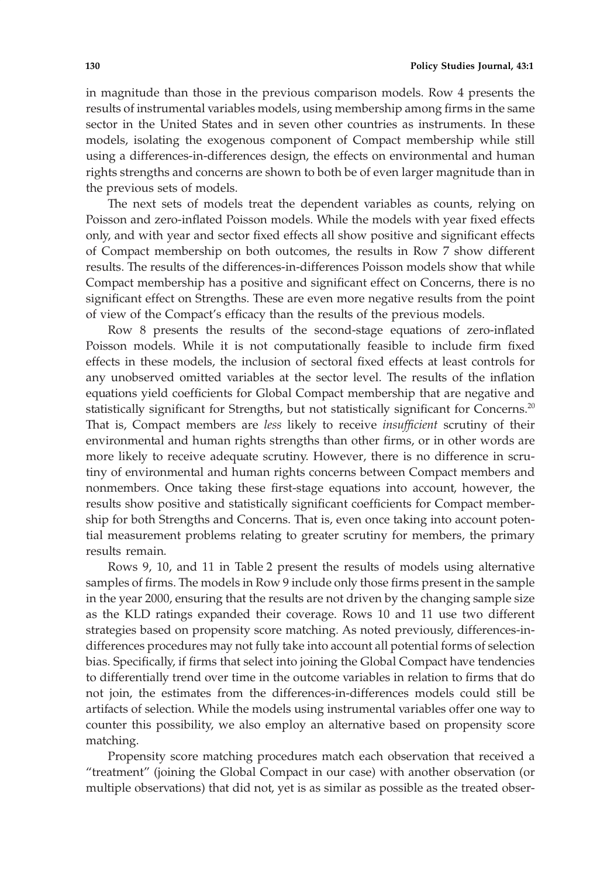in magnitude than those in the previous comparison models. Row 4 presents the results of instrumental variables models, using membership among firms in the same sector in the United States and in seven other countries as instruments. In these models, isolating the exogenous component of Compact membership while still using a differences-in-differences design, the effects on environmental and human rights strengths and concerns are shown to both be of even larger magnitude than in the previous sets of models.

The next sets of models treat the dependent variables as counts, relying on Poisson and zero-inflated Poisson models. While the models with year fixed effects only, and with year and sector fixed effects all show positive and significant effects of Compact membership on both outcomes, the results in Row 7 show different results. The results of the differences-in-differences Poisson models show that while Compact membership has a positive and significant effect on Concerns, there is no significant effect on Strengths. These are even more negative results from the point of view of the Compact's efficacy than the results of the previous models.

Row 8 presents the results of the second-stage equations of zero-inflated Poisson models. While it is not computationally feasible to include firm fixed effects in these models, the inclusion of sectoral fixed effects at least controls for any unobserved omitted variables at the sector level. The results of the inflation equations yield coefficients for Global Compact membership that are negative and statistically significant for Strengths, but not statistically significant for Concerns.<sup>20</sup> That is, Compact members are *less* likely to receive *insufficient* scrutiny of their environmental and human rights strengths than other firms, or in other words are more likely to receive adequate scrutiny. However, there is no difference in scrutiny of environmental and human rights concerns between Compact members and nonmembers. Once taking these first-stage equations into account, however, the results show positive and statistically significant coefficients for Compact membership for both Strengths and Concerns. That is, even once taking into account potential measurement problems relating to greater scrutiny for members, the primary results remain.

Rows 9, 10, and 11 in Table 2 present the results of models using alternative samples of firms. The models in Row 9 include only those firms present in the sample in the year 2000, ensuring that the results are not driven by the changing sample size as the KLD ratings expanded their coverage. Rows 10 and 11 use two different strategies based on propensity score matching. As noted previously, differences-indifferences procedures may not fully take into account all potential forms of selection bias. Specifically, if firms that select into joining the Global Compact have tendencies to differentially trend over time in the outcome variables in relation to firms that do not join, the estimates from the differences-in-differences models could still be artifacts of selection. While the models using instrumental variables offer one way to counter this possibility, we also employ an alternative based on propensity score matching.

Propensity score matching procedures match each observation that received a "treatment" (joining the Global Compact in our case) with another observation (or multiple observations) that did not, yet is as similar as possible as the treated obser-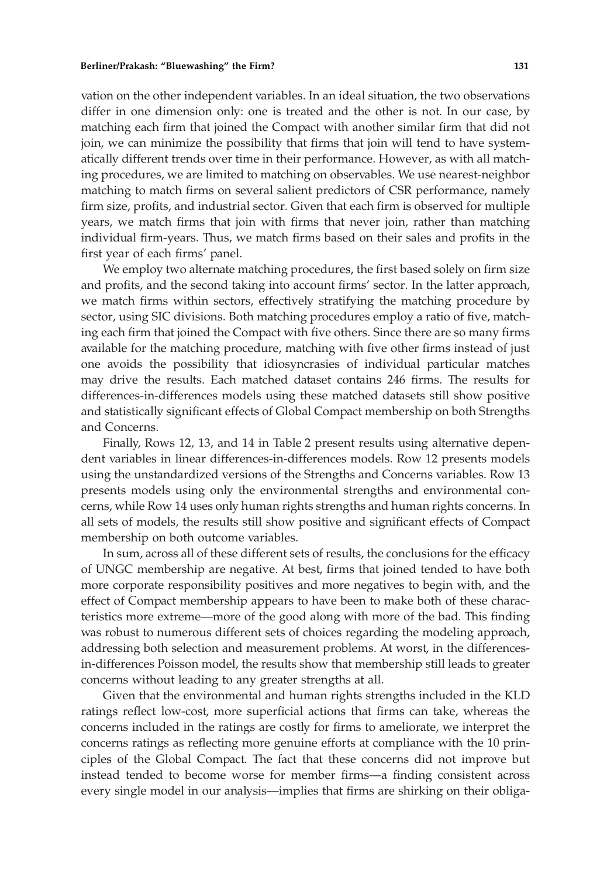vation on the other independent variables. In an ideal situation, the two observations differ in one dimension only: one is treated and the other is not. In our case, by matching each firm that joined the Compact with another similar firm that did not join, we can minimize the possibility that firms that join will tend to have systematically different trends over time in their performance. However, as with all matching procedures, we are limited to matching on observables. We use nearest-neighbor matching to match firms on several salient predictors of CSR performance, namely firm size, profits, and industrial sector. Given that each firm is observed for multiple years, we match firms that join with firms that never join, rather than matching individual firm-years. Thus, we match firms based on their sales and profits in the first year of each firms' panel.

We employ two alternate matching procedures, the first based solely on firm size and profits, and the second taking into account firms' sector. In the latter approach, we match firms within sectors, effectively stratifying the matching procedure by sector, using SIC divisions. Both matching procedures employ a ratio of five, matching each firm that joined the Compact with five others. Since there are so many firms available for the matching procedure, matching with five other firms instead of just one avoids the possibility that idiosyncrasies of individual particular matches may drive the results. Each matched dataset contains 246 firms. The results for differences-in-differences models using these matched datasets still show positive and statistically significant effects of Global Compact membership on both Strengths and Concerns.

Finally, Rows 12, 13, and 14 in Table 2 present results using alternative dependent variables in linear differences-in-differences models. Row 12 presents models using the unstandardized versions of the Strengths and Concerns variables. Row 13 presents models using only the environmental strengths and environmental concerns, while Row 14 uses only human rights strengths and human rights concerns. In all sets of models, the results still show positive and significant effects of Compact membership on both outcome variables.

In sum, across all of these different sets of results, the conclusions for the efficacy of UNGC membership are negative. At best, firms that joined tended to have both more corporate responsibility positives and more negatives to begin with, and the effect of Compact membership appears to have been to make both of these characteristics more extreme—more of the good along with more of the bad. This finding was robust to numerous different sets of choices regarding the modeling approach, addressing both selection and measurement problems. At worst, in the differencesin-differences Poisson model, the results show that membership still leads to greater concerns without leading to any greater strengths at all.

Given that the environmental and human rights strengths included in the KLD ratings reflect low-cost, more superficial actions that firms can take, whereas the concerns included in the ratings are costly for firms to ameliorate, we interpret the concerns ratings as reflecting more genuine efforts at compliance with the 10 principles of the Global Compact. The fact that these concerns did not improve but instead tended to become worse for member firms—a finding consistent across every single model in our analysis—implies that firms are shirking on their obliga-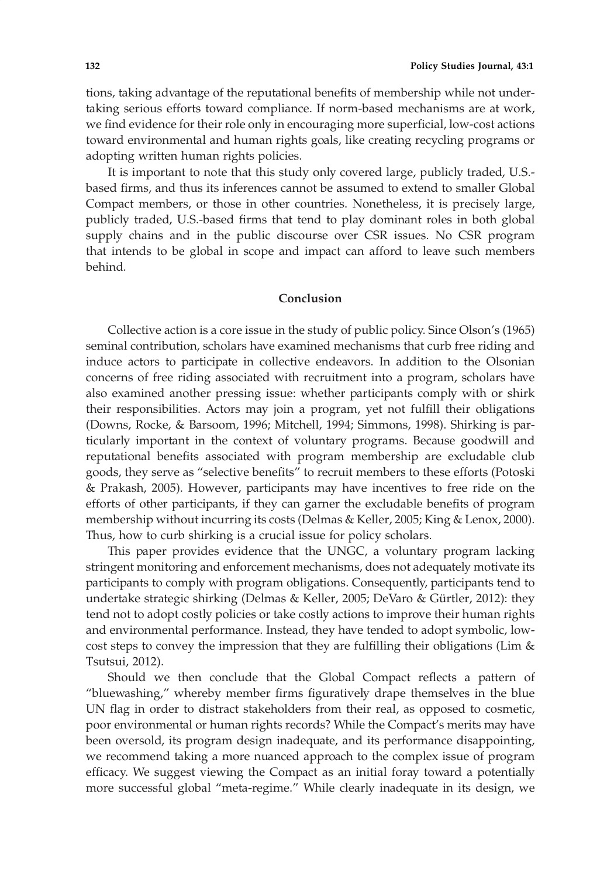tions, taking advantage of the reputational benefits of membership while not undertaking serious efforts toward compliance. If norm-based mechanisms are at work, we find evidence for their role only in encouraging more superficial, low-cost actions toward environmental and human rights goals, like creating recycling programs or adopting written human rights policies.

It is important to note that this study only covered large, publicly traded, U.S. based firms, and thus its inferences cannot be assumed to extend to smaller Global Compact members, or those in other countries. Nonetheless, it is precisely large, publicly traded, U.S.-based firms that tend to play dominant roles in both global supply chains and in the public discourse over CSR issues. No CSR program that intends to be global in scope and impact can afford to leave such members behind.

# **Conclusion**

Collective action is a core issue in the study of public policy. Since Olson's (1965) seminal contribution, scholars have examined mechanisms that curb free riding and induce actors to participate in collective endeavors. In addition to the Olsonian concerns of free riding associated with recruitment into a program, scholars have also examined another pressing issue: whether participants comply with or shirk their responsibilities. Actors may join a program, yet not fulfill their obligations (Downs, Rocke, & Barsoom, 1996; Mitchell, 1994; Simmons, 1998). Shirking is particularly important in the context of voluntary programs. Because goodwill and reputational benefits associated with program membership are excludable club goods, they serve as "selective benefits" to recruit members to these efforts (Potoski & Prakash, 2005). However, participants may have incentives to free ride on the efforts of other participants, if they can garner the excludable benefits of program membership without incurring its costs (Delmas & Keller, 2005; King & Lenox, 2000). Thus, how to curb shirking is a crucial issue for policy scholars.

This paper provides evidence that the UNGC, a voluntary program lacking stringent monitoring and enforcement mechanisms, does not adequately motivate its participants to comply with program obligations. Consequently, participants tend to undertake strategic shirking (Delmas & Keller, 2005; DeVaro & Gürtler, 2012): they tend not to adopt costly policies or take costly actions to improve their human rights and environmental performance. Instead, they have tended to adopt symbolic, lowcost steps to convey the impression that they are fulfilling their obligations (Lim  $\&$ Tsutsui, 2012).

Should we then conclude that the Global Compact reflects a pattern of "bluewashing," whereby member firms figuratively drape themselves in the blue UN flag in order to distract stakeholders from their real, as opposed to cosmetic, poor environmental or human rights records? While the Compact's merits may have been oversold, its program design inadequate, and its performance disappointing, we recommend taking a more nuanced approach to the complex issue of program efficacy. We suggest viewing the Compact as an initial foray toward a potentially more successful global "meta-regime." While clearly inadequate in its design, we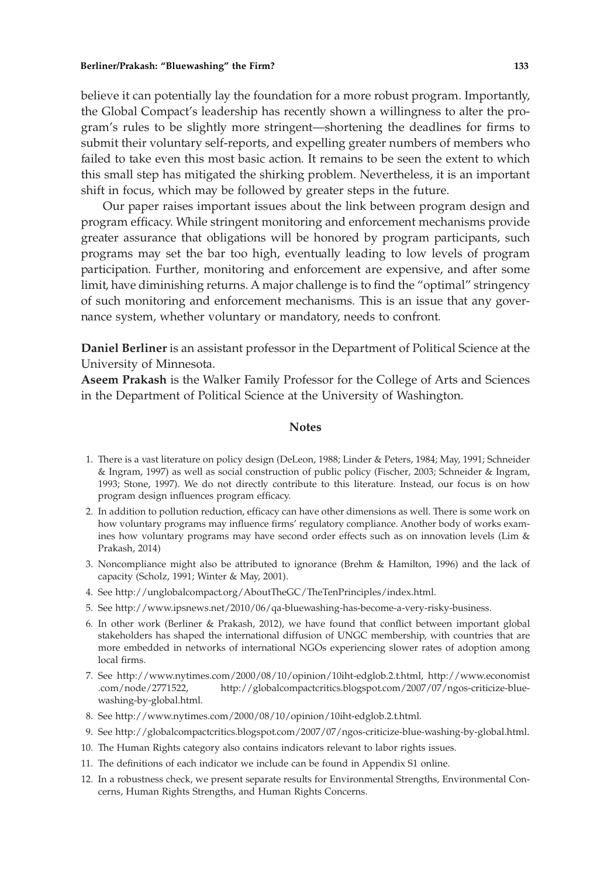#### **Berliner/Prakash: "Bluewashing" the Firm? 133 Berliner/Prakash: "Bluewashing" the Firm?**

believe it can potentially lay the foundation for a more robust program. Importantly, the Global Compact's leadership has recently shown a willingness to alter the program's rules to be slightly more stringent—shortening the deadlines for firms to submit their voluntary self-reports, and expelling greater numbers of members who failed to take even this most basic action. It remains to be seen the extent to which this small step has mitigated the shirking problem. Nevertheless, it is an important shift in focus, which may be followed by greater steps in the future.

Our paper raises important issues about the link between program design and program efficacy. While stringent monitoring and enforcement mechanisms provide greater assurance that obligations will be honored by program participants, such programs may set the bar too high, eventually leading to low levels of program participation. Further, monitoring and enforcement are expensive, and after some limit, have diminishing returns. A major challenge is to find the "optimal" stringency of such monitoring and enforcement mechanisms. This is an issue that any governance system, whether voluntary or mandatory, needs to confront.

**Daniel Berliner** is an assistant professor in the Department of Political Science at the University of Minnesota.

**Aseem Prakash** is the Walker Family Professor for the College of Arts and Sciences in the Department of Political Science at the University of Washington.

### **Notes**

- 1. There is a vast literature on policy design (DeLeon, 1988; Linder & Peters, 1984; May, 1991; Schneider & Ingram, 1997) as well as social construction of public policy (Fischer, 2003; Schneider & Ingram, 1993; Stone, 1997). We do not directly contribute to this literature. Instead, our focus is on how program design influences program efficacy.
- 2. In addition to pollution reduction, efficacy can have other dimensions as well. There is some work on how voluntary programs may influence firms' regulatory compliance. Another body of works examines how voluntary programs may have second order effects such as on innovation levels (Lim & Prakash, 2014)
- 3. Noncompliance might also be attributed to ignorance (Brehm & Hamilton, 1996) and the lack of capacity (Scholz, 1991; Winter & May, 2001).
- 4. See http://unglobalcompact.org/AboutTheGC/TheTenPrinciples/index.html.
- 5. See http://www.ipsnews.net/2010/06/qa-bluewashing-has-become-a-very-risky-business.
- 6. In other work (Berliner & Prakash, 2012), we have found that conflict between important global stakeholders has shaped the international diffusion of UNGC membership, with countries that are more embedded in networks of international NGOs experiencing slower rates of adoption among local firms.
- 7. See http://www.nytimes.com/2000/08/10/opinion/10iht-edglob.2.t.html, http://www.economist .com/node/2771522, http://globalcompactcritics.blogspot.com/2007/07/ngos-criticize-bluewashing-by-global.html.
- 8. See http://www.nytimes.com/2000/08/10/opinion/10iht-edglob.2.t.html.
- 9. See http://globalcompactcritics.blogspot.com/2007/07/ngos-criticize-blue-washing-by-global.html.
- 10. The Human Rights category also contains indicators relevant to labor rights issues.
- 11. The definitions of each indicator we include can be found in Appendix S1 online.
- 12. In a robustness check, we present separate results for Environmental Strengths, Environmental Concerns, Human Rights Strengths, and Human Rights Concerns.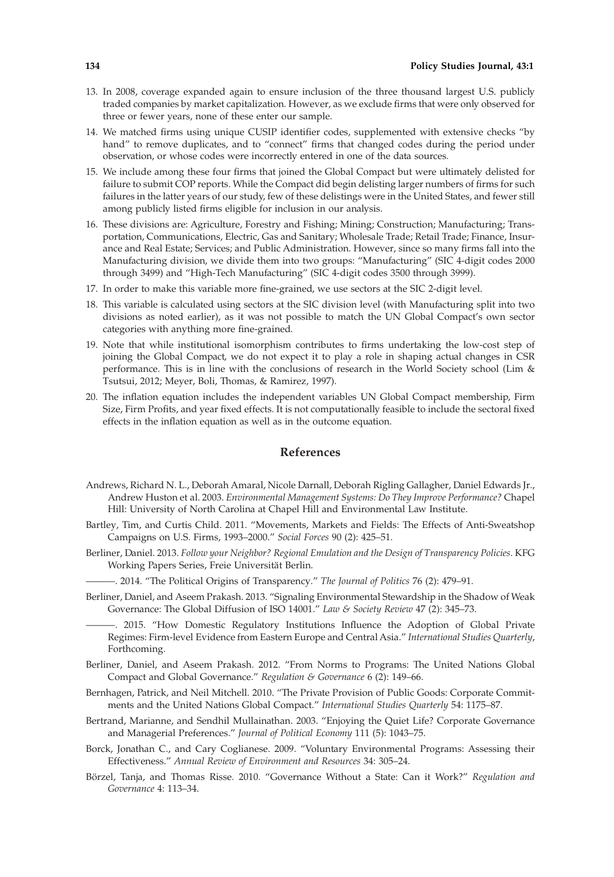- 13. In 2008, coverage expanded again to ensure inclusion of the three thousand largest U.S. publicly traded companies by market capitalization. However, as we exclude firms that were only observed for three or fewer years, none of these enter our sample.
- 14. We matched firms using unique CUSIP identifier codes, supplemented with extensive checks "by hand" to remove duplicates, and to "connect" firms that changed codes during the period under observation, or whose codes were incorrectly entered in one of the data sources.
- 15. We include among these four firms that joined the Global Compact but were ultimately delisted for failure to submit COP reports. While the Compact did begin delisting larger numbers of firms for such failures in the latter years of our study, few of these delistings were in the United States, and fewer still among publicly listed firms eligible for inclusion in our analysis.
- 16. These divisions are: Agriculture, Forestry and Fishing; Mining; Construction; Manufacturing; Transportation, Communications, Electric, Gas and Sanitary; Wholesale Trade; Retail Trade; Finance, Insurance and Real Estate; Services; and Public Administration. However, since so many firms fall into the Manufacturing division, we divide them into two groups: "Manufacturing" (SIC 4-digit codes 2000 through 3499) and "High-Tech Manufacturing" (SIC 4-digit codes 3500 through 3999).
- 17. In order to make this variable more fine-grained, we use sectors at the SIC 2-digit level.
- 18. This variable is calculated using sectors at the SIC division level (with Manufacturing split into two divisions as noted earlier), as it was not possible to match the UN Global Compact's own sector categories with anything more fine-grained.
- 19. Note that while institutional isomorphism contributes to firms undertaking the low-cost step of joining the Global Compact, we do not expect it to play a role in shaping actual changes in CSR performance. This is in line with the conclusions of research in the World Society school (Lim & Tsutsui, 2012; Meyer, Boli, Thomas, & Ramirez, 1997).
- 20. The inflation equation includes the independent variables UN Global Compact membership, Firm Size, Firm Profits, and year fixed effects. It is not computationally feasible to include the sectoral fixed effects in the inflation equation as well as in the outcome equation.

#### **References**

- Andrews, Richard N. L., Deborah Amaral, Nicole Darnall, Deborah Rigling Gallagher, Daniel Edwards Jr., Andrew Huston et al. 2003. *Environmental Management Systems: Do They Improve Performance?* Chapel Hill: University of North Carolina at Chapel Hill and Environmental Law Institute.
- Bartley, Tim, and Curtis Child. 2011. "Movements, Markets and Fields: The Effects of Anti-Sweatshop Campaigns on U.S. Firms, 1993–2000." *Social Forces* 90 (2): 425–51.
- Berliner, Daniel. 2013. *Follow your Neighbor? Regional Emulation and the Design of Transparency Policies*. KFG Working Papers Series, Freie Universität Berlin.
	- ———. 2014. "The Political Origins of Transparency." *The Journal of Politics* 76 (2): 479–91.
- Berliner, Daniel, and Aseem Prakash. 2013. "Signaling Environmental Stewardship in the Shadow of Weak Governance: The Global Diffusion of ISO 14001." *Law & Society Review* 47 (2): 345–73.
	- ———. 2015. "How Domestic Regulatory Institutions Influence the Adoption of Global Private Regimes: Firm-level Evidence from Eastern Europe and Central Asia." *International Studies Quarterly*, Forthcoming.
- Berliner, Daniel, and Aseem Prakash. 2012. "From Norms to Programs: The United Nations Global Compact and Global Governance." *Regulation & Governance* 6 (2): 149–66.
- Bernhagen, Patrick, and Neil Mitchell. 2010. "The Private Provision of Public Goods: Corporate Commitments and the United Nations Global Compact." *International Studies Quarterly* 54: 1175–87.
- Bertrand, Marianne, and Sendhil Mullainathan. 2003. "Enjoying the Quiet Life? Corporate Governance and Managerial Preferences." *Journal of Political Economy* 111 (5): 1043–75.
- Borck, Jonathan C., and Cary Coglianese. 2009. "Voluntary Environmental Programs: Assessing their Effectiveness." *Annual Review of Environment and Resources* 34: 305–24.
- Börzel, Tanja, and Thomas Risse. 2010. "Governance Without a State: Can it Work?" *Regulation and Governance* 4: 113–34.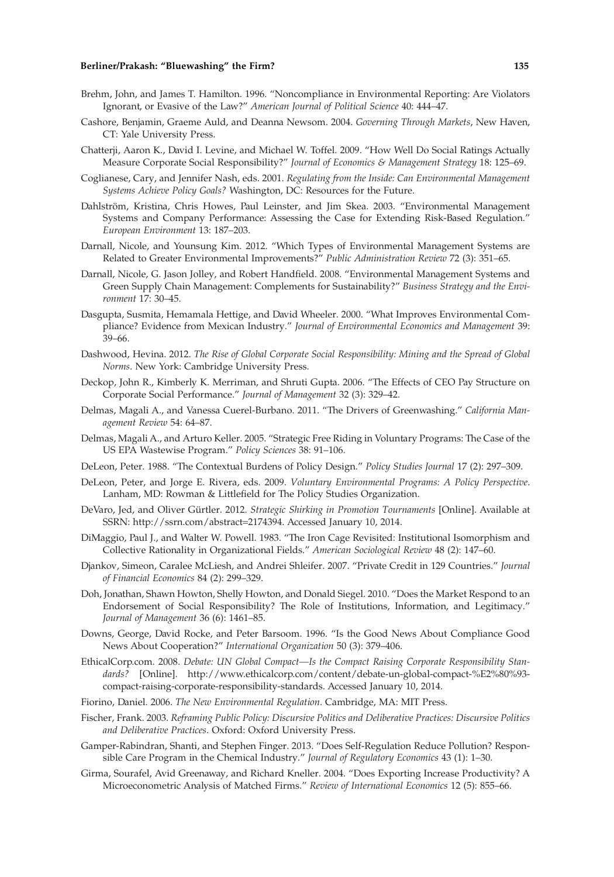#### **Berliner/Prakash: "Bluewashing" the Firm? 21** Berliner/Prakash: "Bluewashing" the Firm? 135

- Brehm, John, and James T. Hamilton. 1996. "Noncompliance in Environmental Reporting: Are Violators Ignorant, or Evasive of the Law?" *American Journal of Political Science* 40: 444–47.
- Cashore, Benjamin, Graeme Auld, and Deanna Newsom. 2004. *Governing Through Markets*, New Haven, CT: Yale University Press.
- Chatterji, Aaron K., David I. Levine, and Michael W. Toffel. 2009. "How Well Do Social Ratings Actually Measure Corporate Social Responsibility?" *Journal of Economics & Management Strategy* 18: 125–69.
- Coglianese, Cary, and Jennifer Nash, eds. 2001. *Regulating from the Inside: Can Environmental Management Systems Achieve Policy Goals?* Washington, DC: Resources for the Future.
- Dahlström, Kristina, Chris Howes, Paul Leinster, and Jim Skea. 2003. "Environmental Management Systems and Company Performance: Assessing the Case for Extending Risk-Based Regulation." *European Environment* 13: 187–203.
- Darnall, Nicole, and Younsung Kim. 2012. "Which Types of Environmental Management Systems are Related to Greater Environmental Improvements?" *Public Administration Review* 72 (3): 351–65.
- Darnall, Nicole, G. Jason Jolley, and Robert Handfield. 2008. "Environmental Management Systems and Green Supply Chain Management: Complements for Sustainability?" *Business Strategy and the Environment* 17: 30–45.
- Dasgupta, Susmita, Hemamala Hettige, and David Wheeler. 2000. "What Improves Environmental Compliance? Evidence from Mexican Industry." *Journal of Environmental Economics and Management* 39: 39–66.
- Dashwood, Hevina. 2012. *The Rise of Global Corporate Social Responsibility: Mining and the Spread of Global Norms*. New York: Cambridge University Press.
- Deckop, John R., Kimberly K. Merriman, and Shruti Gupta. 2006. "The Effects of CEO Pay Structure on Corporate Social Performance." *Journal of Management* 32 (3): 329–42.
- Delmas, Magali A., and Vanessa Cuerel-Burbano. 2011. "The Drivers of Greenwashing." *California Management Review* 54: 64–87.
- Delmas, Magali A., and Arturo Keller. 2005. "Strategic Free Riding in Voluntary Programs: The Case of the US EPA Wastewise Program." *Policy Sciences* 38: 91–106.
- DeLeon, Peter. 1988. "The Contextual Burdens of Policy Design." *Policy Studies Journal* 17 (2): 297–309.
- DeLeon, Peter, and Jorge E. Rivera, eds. 2009. *Voluntary Environmental Programs: A Policy Perspective*. Lanham, MD: Rowman & Littlefield for The Policy Studies Organization.
- DeVaro, Jed, and Oliver Gürtler. 2012. *Strategic Shirking in Promotion Tournaments* [Online]. Available at SSRN: http://ssrn.com/abstract=2174394. Accessed January 10, 2014.
- DiMaggio, Paul J., and Walter W. Powell. 1983. "The Iron Cage Revisited: Institutional Isomorphism and Collective Rationality in Organizational Fields." *American Sociological Review* 48 (2): 147–60.
- Djankov, Simeon, Caralee McLiesh, and Andrei Shleifer. 2007. "Private Credit in 129 Countries." *Journal of Financial Economics* 84 (2): 299–329.
- Doh, Jonathan, Shawn Howton, Shelly Howton, and Donald Siegel. 2010. "Does the Market Respond to an Endorsement of Social Responsibility? The Role of Institutions, Information, and Legitimacy." *Journal of Management* 36 (6): 1461–85.
- Downs, George, David Rocke, and Peter Barsoom. 1996. "Is the Good News About Compliance Good News About Cooperation?" *International Organization* 50 (3): 379–406.
- EthicalCorp.com. 2008. *Debate: UN Global Compact—Is the Compact Raising Corporate Responsibility Standards?* [Online]. http://www.ethicalcorp.com/content/debate-un-global-compact-%E2%80%93 compact-raising-corporate-responsibility-standards. Accessed January 10, 2014.
- Fiorino, Daniel. 2006. *The New Environmental Regulation*. Cambridge, MA: MIT Press.
- Fischer, Frank. 2003. *Reframing Public Policy: Discursive Politics and Deliberative Practices: Discursive Politics and Deliberative Practices*. Oxford: Oxford University Press.
- Gamper-Rabindran, Shanti, and Stephen Finger. 2013. "Does Self-Regulation Reduce Pollution? Responsible Care Program in the Chemical Industry." *Journal of Regulatory Economics* 43 (1): 1–30.
- Girma, Sourafel, Avid Greenaway, and Richard Kneller. 2004. "Does Exporting Increase Productivity? A Microeconometric Analysis of Matched Firms." *Review of International Economics* 12 (5): 855–66.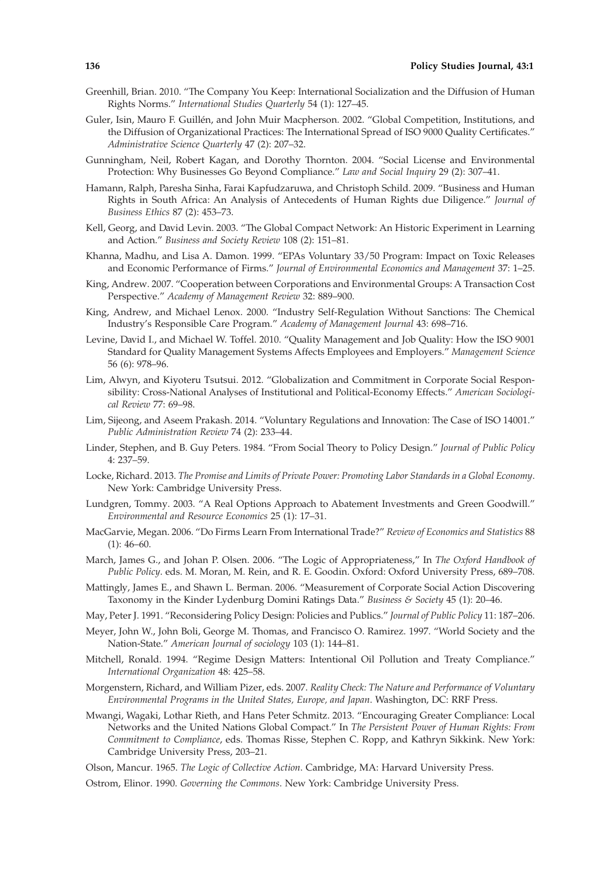- Greenhill, Brian. 2010. "The Company You Keep: International Socialization and the Diffusion of Human Rights Norms." *International Studies Quarterly* 54 (1): 127–45.
- Guler, Isin, Mauro F. Guillén, and John Muir Macpherson. 2002. "Global Competition, Institutions, and the Diffusion of Organizational Practices: The International Spread of ISO 9000 Quality Certificates." *Administrative Science Quarterly* 47 (2): 207–32.
- Gunningham, Neil, Robert Kagan, and Dorothy Thornton. 2004. "Social License and Environmental Protection: Why Businesses Go Beyond Compliance." *Law and Social Inquiry* 29 (2): 307–41.
- Hamann, Ralph, Paresha Sinha, Farai Kapfudzaruwa, and Christoph Schild. 2009. "Business and Human Rights in South Africa: An Analysis of Antecedents of Human Rights due Diligence." *Journal of Business Ethics* 87 (2): 453–73.
- Kell, Georg, and David Levin. 2003. "The Global Compact Network: An Historic Experiment in Learning and Action." *Business and Society Review* 108 (2): 151–81.
- Khanna, Madhu, and Lisa A. Damon. 1999. "EPAs Voluntary 33/50 Program: Impact on Toxic Releases and Economic Performance of Firms." *Journal of Environmental Economics and Management* 37: 1–25.
- King, Andrew. 2007. "Cooperation between Corporations and Environmental Groups: A Transaction Cost Perspective." *Academy of Management Review* 32: 889–900.
- King, Andrew, and Michael Lenox. 2000. "Industry Self-Regulation Without Sanctions: The Chemical Industry's Responsible Care Program." *Academy of Management Journal* 43: 698–716.
- Levine, David I., and Michael W. Toffel. 2010. "Quality Management and Job Quality: How the ISO 9001 Standard for Quality Management Systems Affects Employees and Employers." *Management Science* 56 (6): 978–96.
- Lim, Alwyn, and Kiyoteru Tsutsui. 2012. "Globalization and Commitment in Corporate Social Responsibility: Cross-National Analyses of Institutional and Political-Economy Effects." *American Sociological Review* 77: 69–98.
- Lim, Sijeong, and Aseem Prakash. 2014. "Voluntary Regulations and Innovation: The Case of ISO 14001." *Public Administration Review* 74 (2): 233–44.
- Linder, Stephen, and B. Guy Peters. 1984. "From Social Theory to Policy Design." *Journal of Public Policy* 4: 237–59.
- Locke, Richard. 2013. *The Promise and Limits of Private Power: Promoting Labor Standards in a Global Economy*. New York: Cambridge University Press.
- Lundgren, Tommy. 2003. "A Real Options Approach to Abatement Investments and Green Goodwill." *Environmental and Resource Economics* 25 (1): 17–31.
- MacGarvie, Megan. 2006. "Do Firms Learn From International Trade?" *Review of Economics and Statistics* 88  $(1): 46 - 60.$
- March, James G., and Johan P. Olsen. 2006. "The Logic of Appropriateness," In *The Oxford Handbook of Public Policy*. eds. M. Moran, M. Rein, and R. E. Goodin. Oxford: Oxford University Press, 689–708.
- Mattingly, James E., and Shawn L. Berman. 2006. "Measurement of Corporate Social Action Discovering Taxonomy in the Kinder Lydenburg Domini Ratings Data." *Business & Society* 45 (1): 20–46.
- May, Peter J. 1991. "Reconsidering Policy Design: Policies and Publics." *Journal of Public Policy* 11: 187–206.
- Meyer, John W., John Boli, George M. Thomas, and Francisco O. Ramirez. 1997. "World Society and the Nation-State." *American Journal of sociology* 103 (1): 144–81.
- Mitchell, Ronald. 1994. "Regime Design Matters: Intentional Oil Pollution and Treaty Compliance." *International Organization* 48: 425–58.
- Morgenstern, Richard, and William Pizer, eds. 2007. *Reality Check: The Nature and Performance of Voluntary Environmental Programs in the United States, Europe, and Japan*. Washington, DC: RRF Press.
- Mwangi, Wagaki, Lothar Rieth, and Hans Peter Schmitz. 2013. "Encouraging Greater Compliance: Local Networks and the United Nations Global Compact." In *The Persistent Power of Human Rights: From Commitment to Compliance*, eds. Thomas Risse, Stephen C. Ropp, and Kathryn Sikkink. New York: Cambridge University Press, 203–21.

Olson, Mancur. 1965. *The Logic of Collective Action*. Cambridge, MA: Harvard University Press.

Ostrom, Elinor. 1990. *Governing the Commons*. New York: Cambridge University Press.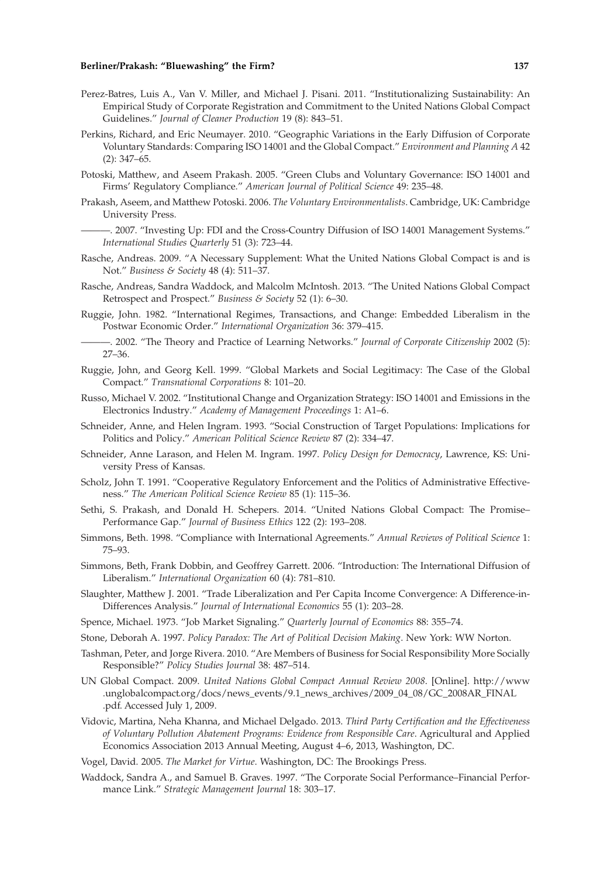#### **Berliner/Prakash: "Bluewashing" the Firm? 23** Berliner/Prakash: "Bluewashing" the Firm? 137

- Perez-Batres, Luis A., Van V. Miller, and Michael J. Pisani. 2011. "Institutionalizing Sustainability: An Empirical Study of Corporate Registration and Commitment to the United Nations Global Compact Guidelines." *Journal of Cleaner Production* 19 (8): 843–51.
- Perkins, Richard, and Eric Neumayer. 2010. "Geographic Variations in the Early Diffusion of Corporate Voluntary Standards: Comparing ISO 14001 and the Global Compact." *Environment and Planning A* 42 (2): 347–65.
- Potoski, Matthew, and Aseem Prakash. 2005. "Green Clubs and Voluntary Governance: ISO 14001 and Firms' Regulatory Compliance." *American Journal of Political Science* 49: 235–48.
- Prakash, Aseem, and Matthew Potoski. 2006. *The Voluntary Environmentalists*. Cambridge, UK: Cambridge University Press.
	- -. 2007. "Investing Up: FDI and the Cross-Country Diffusion of ISO 14001 Management Systems." *International Studies Quarterly* 51 (3): 723–44.
- Rasche, Andreas. 2009. "A Necessary Supplement: What the United Nations Global Compact is and is Not." *Business & Society* 48 (4): 511–37.
- Rasche, Andreas, Sandra Waddock, and Malcolm McIntosh. 2013. "The United Nations Global Compact Retrospect and Prospect." *Business & Society* 52 (1): 6–30.
- Ruggie, John. 1982. "International Regimes, Transactions, and Change: Embedded Liberalism in the Postwar Economic Order." *International Organization* 36: 379–415.
	- ———. 2002. "The Theory and Practice of Learning Networks." *Journal of Corporate Citizenship* 2002 (5): 27–36.
- Ruggie, John, and Georg Kell. 1999. "Global Markets and Social Legitimacy: The Case of the Global Compact." *Transnational Corporations* 8: 101–20.
- Russo, Michael V. 2002. "Institutional Change and Organization Strategy: ISO 14001 and Emissions in the Electronics Industry." *Academy of Management Proceedings* 1: A1–6.
- Schneider, Anne, and Helen Ingram. 1993. "Social Construction of Target Populations: Implications for Politics and Policy." *American Political Science Review* 87 (2): 334–47.
- Schneider, Anne Larason, and Helen M. Ingram. 1997. *Policy Design for Democracy*, Lawrence, KS: University Press of Kansas.
- Scholz, John T. 1991. "Cooperative Regulatory Enforcement and the Politics of Administrative Effectiveness." *The American Political Science Review* 85 (1): 115–36.
- Sethi, S. Prakash, and Donald H. Schepers. 2014. "United Nations Global Compact: The Promise– Performance Gap." *Journal of Business Ethics* 122 (2): 193–208.
- Simmons, Beth. 1998. "Compliance with International Agreements." *Annual Reviews of Political Science* 1: 75–93.
- Simmons, Beth, Frank Dobbin, and Geoffrey Garrett. 2006. "Introduction: The International Diffusion of Liberalism." *International Organization* 60 (4): 781–810.
- Slaughter, Matthew J. 2001. "Trade Liberalization and Per Capita Income Convergence: A Difference-in-Differences Analysis." *Journal of International Economics* 55 (1): 203–28.
- Spence, Michael. 1973. "Job Market Signaling." *Quarterly Journal of Economics* 88: 355–74.
- Stone, Deborah A. 1997. *Policy Paradox: The Art of Political Decision Making*. New York: WW Norton.
- Tashman, Peter, and Jorge Rivera. 2010. "Are Members of Business for Social Responsibility More Socially Responsible?" *Policy Studies Journal* 38: 487–514.
- UN Global Compact. 2009. *United Nations Global Compact Annual Review 2008*. [Online]. http://www .unglobalcompact.org/docs/news\_events/9.1\_news\_archives/2009\_04\_08/GC\_2008AR\_FINAL .pdf. Accessed July 1, 2009.
- Vidovic, Martina, Neha Khanna, and Michael Delgado. 2013. *Third Party Certification and the Effectiveness of Voluntary Pollution Abatement Programs: Evidence from Responsible Care*. Agricultural and Applied Economics Association 2013 Annual Meeting, August 4–6, 2013, Washington, DC.
- Vogel, David. 2005. *The Market for Virtue*. Washington, DC: The Brookings Press.
- Waddock, Sandra A., and Samuel B. Graves. 1997. "The Corporate Social Performance–Financial Performance Link." *Strategic Management Journal* 18: 303–17.